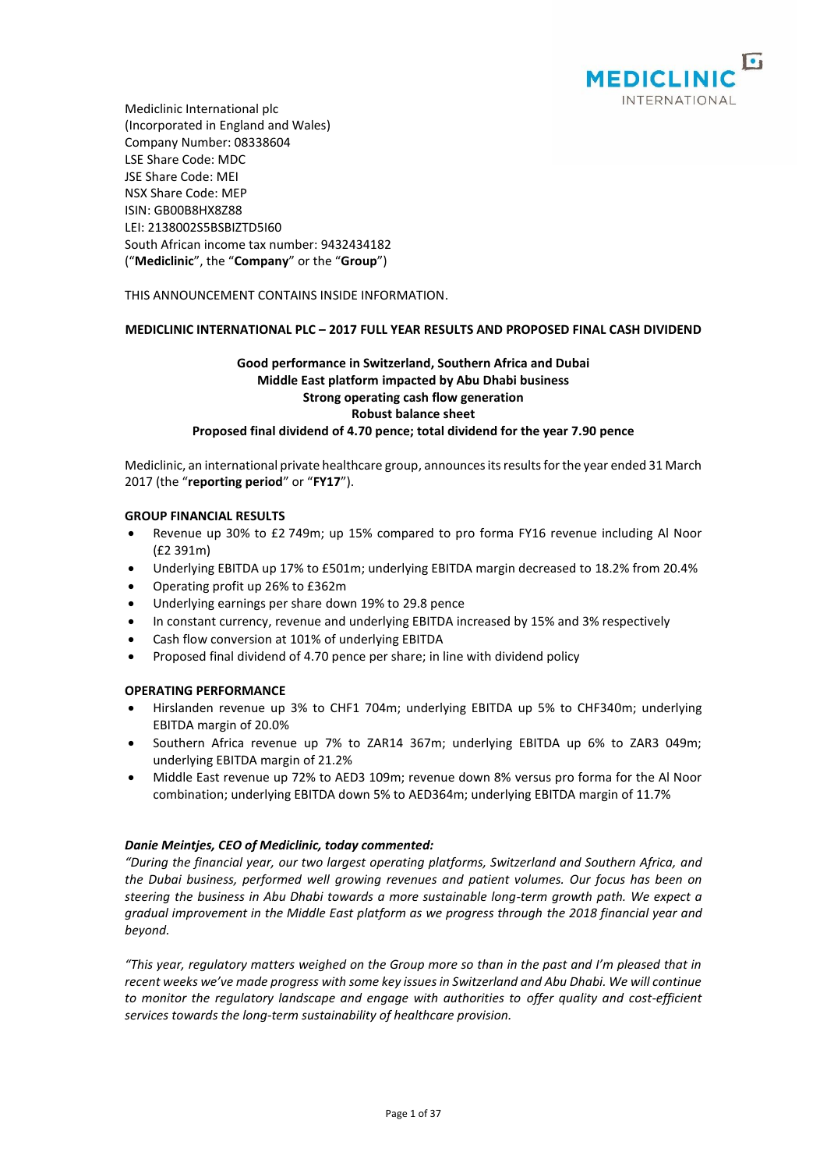

Mediclinic International plc (Incorporated in England and Wales) Company Number: 08338604 LSE Share Code: MDC JSE Share Code: MEI NSX Share Code: MEP ISIN: GB00B8HX8Z88 LEI: 2138002S5BSBIZTD5I60 South African income tax number: 9432434182 ("**Mediclinic**", the "**Company**" or the "**Group**")

THIS ANNOUNCEMENT CONTAINS INSIDE INFORMATION.

## **MEDICLINIC INTERNATIONAL PLC – 2017 FULL YEAR RESULTS AND PROPOSED FINAL CASH DIVIDEND**

# **Good performance in Switzerland, Southern Africa and Dubai Middle East platform impacted by Abu Dhabi business Strong operating cash flow generation Robust balance sheet Proposed final dividend of 4.70 pence; total dividend for the year 7.90 pence**

Mediclinic, an international private healthcare group, announces its results for the year ended 31 March 2017 (the "**reporting period**" or "**FY17**").

## **GROUP FINANCIAL RESULTS**

- Revenue up 30% to £2 749m; up 15% compared to pro forma FY16 revenue including Al Noor (£2 391m)
- Underlying EBITDA up 17% to £501m; underlying EBITDA margin decreased to 18.2% from 20.4%
- Operating profit up 26% to £362m
- Underlying earnings per share down 19% to 29.8 pence
- In constant currency, revenue and underlying EBITDA increased by 15% and 3% respectively
- Cash flow conversion at 101% of underlying EBITDA
- Proposed final dividend of 4.70 pence per share; in line with dividend policy

## **OPERATING PERFORMANCE**

- Hirslanden revenue up 3% to CHF1 704m; underlying EBITDA up 5% to CHF340m; underlying EBITDA margin of 20.0%
- Southern Africa revenue up 7% to ZAR14 367m; underlying EBITDA up 6% to ZAR3 049m; underlying EBITDA margin of 21.2%
- Middle East revenue up 72% to AED3 109m; revenue down 8% versus pro forma for the Al Noor combination; underlying EBITDA down 5% to AED364m; underlying EBITDA margin of 11.7%

## *Danie Meintjes, CEO of Mediclinic, today commented:*

*"During the financial year, our two largest operating platforms, Switzerland and Southern Africa, and the Dubai business, performed well growing revenues and patient volumes. Our focus has been on steering the business in Abu Dhabi towards a more sustainable long-term growth path. We expect a gradual improvement in the Middle East platform as we progress through the 2018 financial year and beyond.*

*"This year, regulatory matters weighed on the Group more so than in the past and I'm pleased that in recent weeks we've made progress with some key issues in Switzerland and Abu Dhabi. We will continue to monitor the regulatory landscape and engage with authorities to offer quality and cost-efficient services towards the long-term sustainability of healthcare provision.*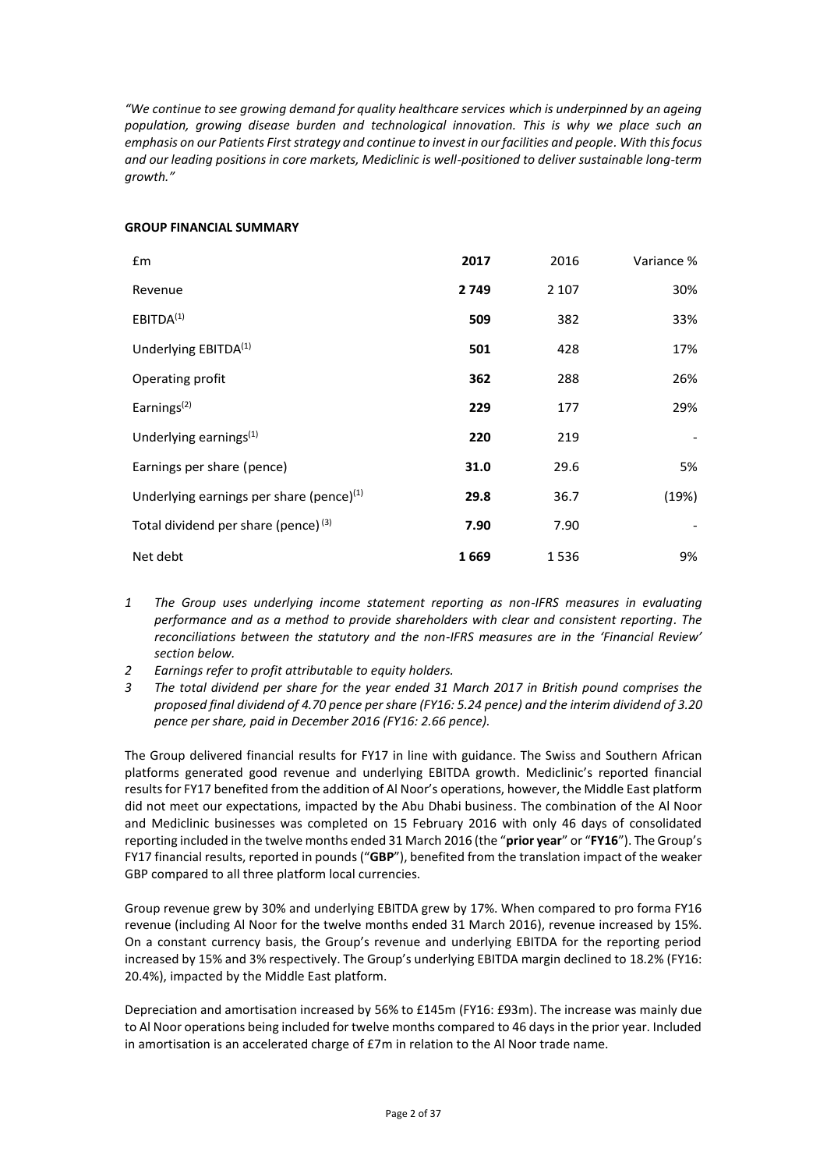*"We continue to see growing demand for quality healthcare services which is underpinned by an ageing population, growing disease burden and technological innovation. This is why we place such an emphasis on our Patients First strategy and continue to invest in our facilities and people. With this focus and our leading positions in core markets, Mediclinic is well-positioned to deliver sustainable long-term growth."* 

## **GROUP FINANCIAL SUMMARY**

| £m                                                   | 2017 | 2016    | Variance % |
|------------------------------------------------------|------|---------|------------|
| Revenue                                              | 2749 | 2 1 0 7 | 30%        |
| EBITDA <sup>(1)</sup>                                | 509  | 382     | 33%        |
| Underlying EBITDA <sup>(1)</sup>                     | 501  | 428     | 17%        |
| Operating profit                                     | 362  | 288     | 26%        |
| Earnings $(2)$                                       | 229  | 177     | 29%        |
| Underlying earnings $(1)$                            | 220  | 219     |            |
| Earnings per share (pence)                           | 31.0 | 29.6    | 5%         |
| Underlying earnings per share (pence) <sup>(1)</sup> | 29.8 | 36.7    | (19%)      |
| Total dividend per share (pence) <sup>(3)</sup>      | 7.90 | 7.90    |            |
| Net debt                                             | 1669 | 1536    | 9%         |

- *1 The Group uses underlying income statement reporting as non-IFRS measures in evaluating performance and as a method to provide shareholders with clear and consistent reporting. The reconciliations between the statutory and the non-IFRS measures are in the 'Financial Review' section below.*
- *2 Earnings refer to profit attributable to equity holders.*
- *3 The total dividend per share for the year ended 31 March 2017 in British pound comprises the proposed final dividend of 4.70 pence per share (FY16: 5.24 pence) and the interim dividend of 3.20 pence per share, paid in December 2016 (FY16: 2.66 pence).*

The Group delivered financial results for FY17 in line with guidance. The Swiss and Southern African platforms generated good revenue and underlying EBITDA growth. Mediclinic's reported financial results for FY17 benefited from the addition of Al Noor's operations, however, the Middle East platform did not meet our expectations, impacted by the Abu Dhabi business. The combination of the Al Noor and Mediclinic businesses was completed on 15 February 2016 with only 46 days of consolidated reporting included in the twelve months ended 31 March 2016 (the "**prior year**" or "**FY16**"). The Group's FY17 financial results, reported in pounds ("**GBP**"), benefited from the translation impact of the weaker GBP compared to all three platform local currencies.

Group revenue grew by 30% and underlying EBITDA grew by 17%. When compared to pro forma FY16 revenue (including Al Noor for the twelve months ended 31 March 2016), revenue increased by 15%. On a constant currency basis, the Group's revenue and underlying EBITDA for the reporting period increased by 15% and 3% respectively. The Group's underlying EBITDA margin declined to 18.2% (FY16: 20.4%), impacted by the Middle East platform.

Depreciation and amortisation increased by 56% to £145m (FY16: £93m). The increase was mainly due to Al Noor operations being included for twelve months compared to 46 days in the prior year. Included in amortisation is an accelerated charge of £7m in relation to the Al Noor trade name.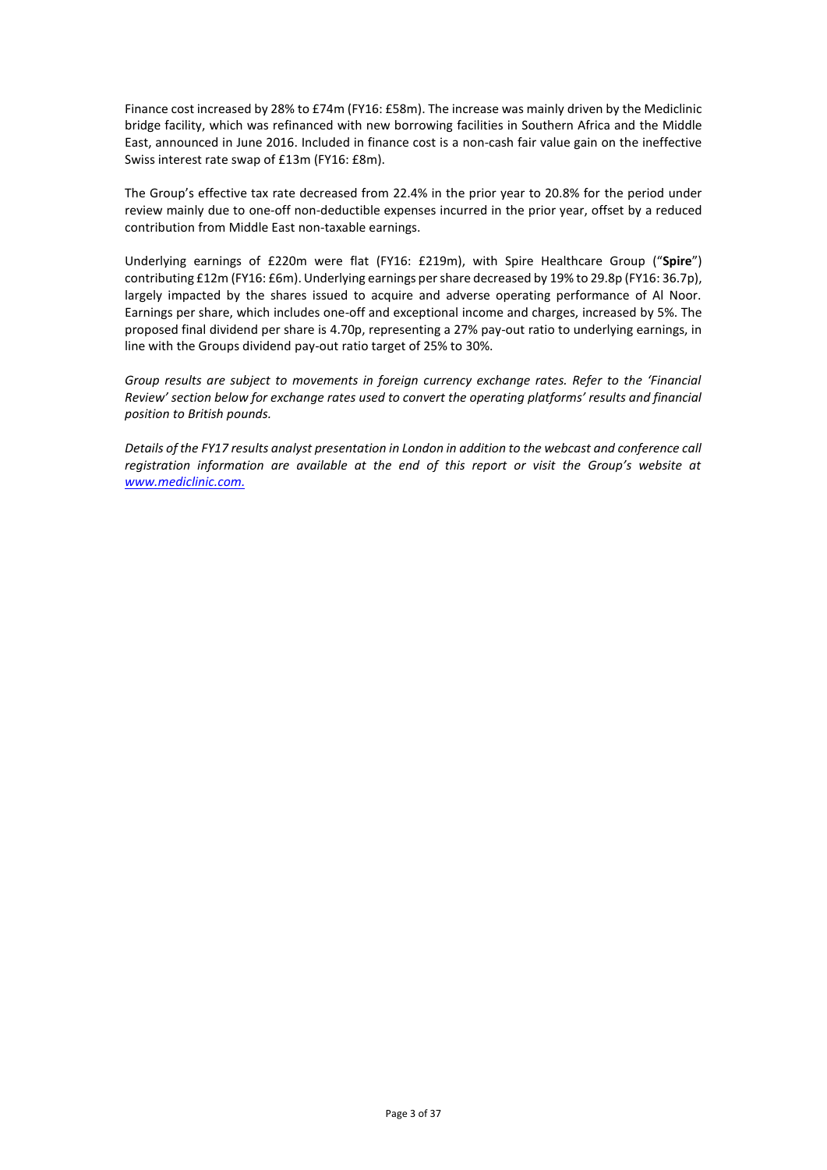Finance cost increased by 28% to £74m (FY16: £58m). The increase was mainly driven by the Mediclinic bridge facility, which was refinanced with new borrowing facilities in Southern Africa and the Middle East, announced in June 2016. Included in finance cost is a non-cash fair value gain on the ineffective Swiss interest rate swap of £13m (FY16: £8m).

The Group's effective tax rate decreased from 22.4% in the prior year to 20.8% for the period under review mainly due to one-off non-deductible expenses incurred in the prior year, offset by a reduced contribution from Middle East non-taxable earnings.

Underlying earnings of £220m were flat (FY16: £219m), with Spire Healthcare Group ("**Spire**") contributing £12m (FY16: £6m). Underlying earnings per share decreased by 19% to 29.8p (FY16: 36.7p), largely impacted by the shares issued to acquire and adverse operating performance of Al Noor. Earnings per share, which includes one-off and exceptional income and charges, increased by 5%. The proposed final dividend per share is 4.70p, representing a 27% pay-out ratio to underlying earnings, in line with the Groups dividend pay-out ratio target of 25% to 30%.

*Group results are subject to movements in foreign currency exchange rates. Refer to the 'Financial Review' section below for exchange rates used to convert the operating platforms' results and financial position to British pounds.*

*Details of the FY17 results analyst presentation in London in addition to the webcast and conference call registration information are available at the end of this report or visit the Group's website at [www.mediclinic.com.](http://www.mediclinic.com/)*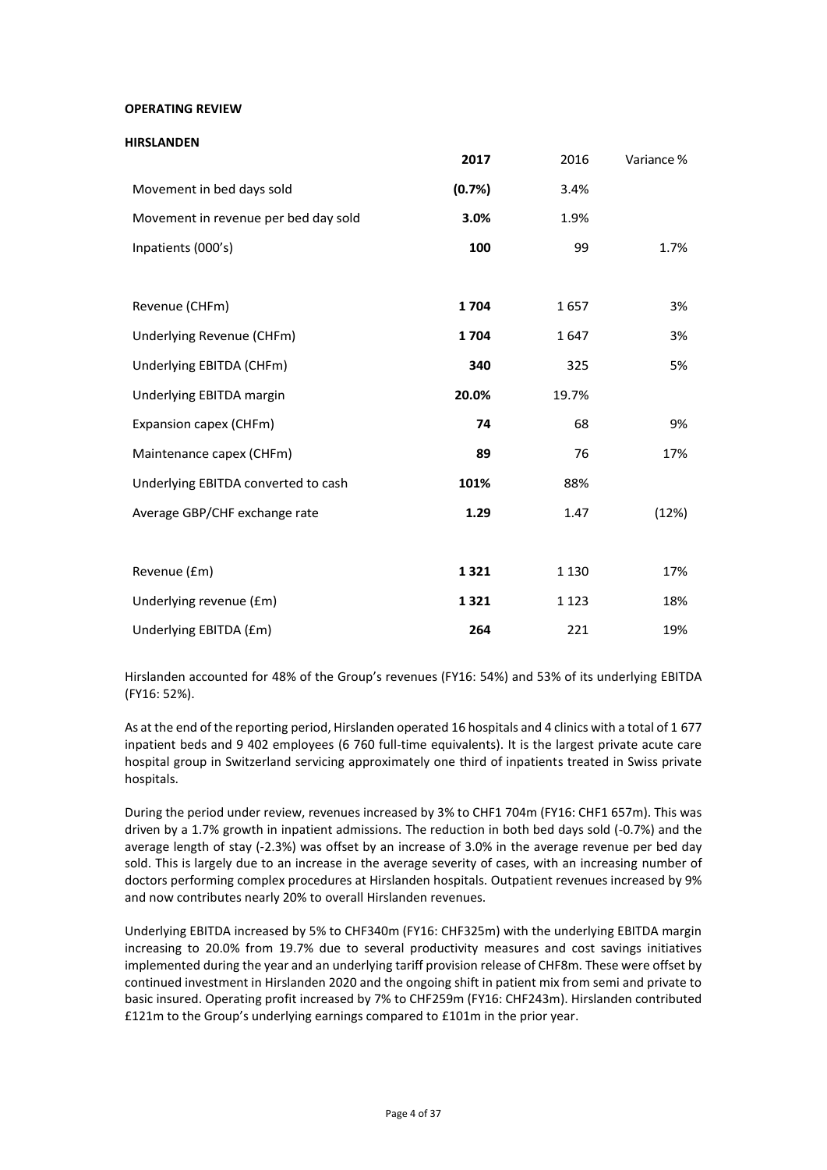**OPERATING REVIEW**

| <b>HIRSLANDEN</b>                    |        |         |            |
|--------------------------------------|--------|---------|------------|
|                                      | 2017   | 2016    | Variance % |
| Movement in bed days sold            | (0.7%) | 3.4%    |            |
| Movement in revenue per bed day sold | 3.0%   | 1.9%    |            |
| Inpatients (000's)                   | 100    | 99      | 1.7%       |
|                                      |        |         |            |
| Revenue (CHFm)                       | 1704   | 1657    | 3%         |
| Underlying Revenue (CHFm)            | 1704   | 1647    | 3%         |
| Underlying EBITDA (CHFm)             | 340    | 325     | 5%         |
| Underlying EBITDA margin             | 20.0%  | 19.7%   |            |
| Expansion capex (CHFm)               | 74     | 68      | 9%         |
| Maintenance capex (CHFm)             | 89     | 76      | 17%        |
| Underlying EBITDA converted to cash  | 101%   | 88%     |            |
| Average GBP/CHF exchange rate        | 1.29   | 1.47    | (12%)      |
|                                      |        |         |            |
| Revenue (£m)                         | 1321   | 1 1 3 0 | 17%        |
| Underlying revenue (£m)              | 1321   | 1 1 2 3 | 18%        |
| Underlying EBITDA (£m)               | 264    | 221     | 19%        |

Hirslanden accounted for 48% of the Group's revenues (FY16: 54%) and 53% of its underlying EBITDA (FY16: 52%).

As at the end of the reporting period, Hirslanden operated 16 hospitals and 4 clinics with a total of 1 677 inpatient beds and 9 402 employees (6 760 full-time equivalents). It is the largest private acute care hospital group in Switzerland servicing approximately one third of inpatients treated in Swiss private hospitals.

During the period under review, revenues increased by 3% to CHF1 704m (FY16: CHF1 657m). This was driven by a 1.7% growth in inpatient admissions. The reduction in both bed days sold (-0.7%) and the average length of stay (-2.3%) was offset by an increase of 3.0% in the average revenue per bed day sold. This is largely due to an increase in the average severity of cases, with an increasing number of doctors performing complex procedures at Hirslanden hospitals. Outpatient revenues increased by 9% and now contributes nearly 20% to overall Hirslanden revenues.

Underlying EBITDA increased by 5% to CHF340m (FY16: CHF325m) with the underlying EBITDA margin increasing to 20.0% from 19.7% due to several productivity measures and cost savings initiatives implemented during the year and an underlying tariff provision release of CHF8m. These were offset by continued investment in Hirslanden 2020 and the ongoing shift in patient mix from semi and private to basic insured. Operating profit increased by 7% to CHF259m (FY16: CHF243m). Hirslanden contributed £121m to the Group's underlying earnings compared to £101m in the prior year.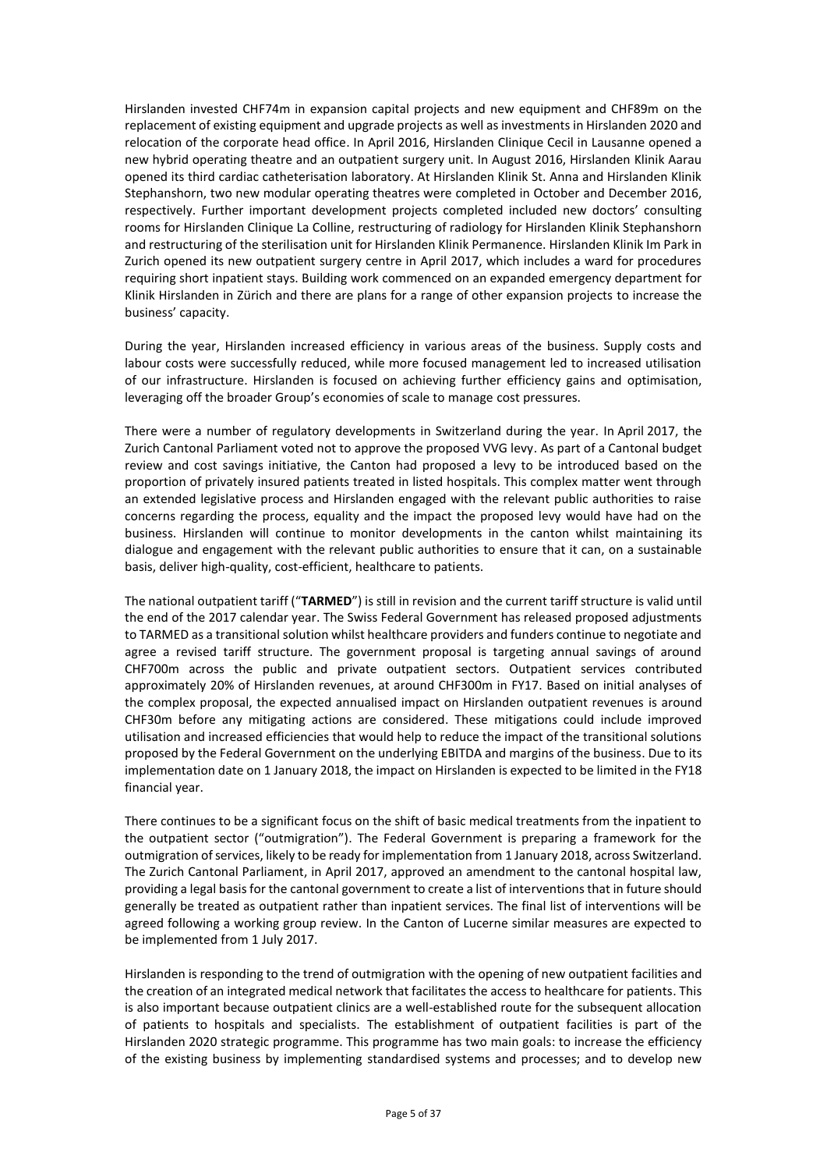Hirslanden invested CHF74m in expansion capital projects and new equipment and CHF89m on the replacement of existing equipment and upgrade projects as well as investments in Hirslanden 2020 and relocation of the corporate head office. In April 2016, Hirslanden Clinique Cecil in Lausanne opened a new hybrid operating theatre and an outpatient surgery unit. In August 2016, Hirslanden Klinik Aarau opened its third cardiac catheterisation laboratory. At Hirslanden Klinik St. Anna and Hirslanden Klinik Stephanshorn, two new modular operating theatres were completed in October and December 2016, respectively. Further important development projects completed included new doctors' consulting rooms for Hirslanden Clinique La Colline, restructuring of radiology for Hirslanden Klinik Stephanshorn and restructuring of the sterilisation unit for Hirslanden Klinik Permanence. Hirslanden Klinik Im Park in Zurich opened its new outpatient surgery centre in April 2017, which includes a ward for procedures requiring short inpatient stays. Building work commenced on an expanded emergency department for Klinik Hirslanden in Zürich and there are plans for a range of other expansion projects to increase the business' capacity.

During the year, Hirslanden increased efficiency in various areas of the business. Supply costs and labour costs were successfully reduced, while more focused management led to increased utilisation of our infrastructure. Hirslanden is focused on achieving further efficiency gains and optimisation, leveraging off the broader Group's economies of scale to manage cost pressures.

There were a number of regulatory developments in Switzerland during the year. In April 2017, the Zurich Cantonal Parliament voted not to approve the proposed VVG levy. As part of a Cantonal budget review and cost savings initiative, the Canton had proposed a levy to be introduced based on the proportion of privately insured patients treated in listed hospitals. This complex matter went through an extended legislative process and Hirslanden engaged with the relevant public authorities to raise concerns regarding the process, equality and the impact the proposed levy would have had on the business. Hirslanden will continue to monitor developments in the canton whilst maintaining its dialogue and engagement with the relevant public authorities to ensure that it can, on a sustainable basis, deliver high-quality, cost-efficient, healthcare to patients.

The national outpatient tariff ("**TARMED**") is still in revision and the current tariff structure is valid until the end of the 2017 calendar year. The Swiss Federal Government has released proposed adjustments to TARMED as a transitional solution whilst healthcare providers and funders continue to negotiate and agree a revised tariff structure. The government proposal is targeting annual savings of around CHF700m across the public and private outpatient sectors. Outpatient services contributed approximately 20% of Hirslanden revenues, at around CHF300m in FY17. Based on initial analyses of the complex proposal, the expected annualised impact on Hirslanden outpatient revenues is around CHF30m before any mitigating actions are considered. These mitigations could include improved utilisation and increased efficiencies that would help to reduce the impact of the transitional solutions proposed by the Federal Government on the underlying EBITDA and margins of the business. Due to its implementation date on 1 January 2018, the impact on Hirslanden is expected to be limited in the FY18 financial year.

There continues to be a significant focus on the shift of basic medical treatments from the inpatient to the outpatient sector ("outmigration"). The Federal Government is preparing a framework for the outmigration of services, likely to be ready for implementation from 1 January 2018, across Switzerland. The Zurich Cantonal Parliament, in April 2017, approved an amendment to the cantonal hospital law, providing a legal basis for the cantonal government to create a list of interventions that in future should generally be treated as outpatient rather than inpatient services. The final list of interventions will be agreed following a working group review. In the Canton of Lucerne similar measures are expected to be implemented from 1 July 2017.

Hirslanden is responding to the trend of outmigration with the opening of new outpatient facilities and the creation of an integrated medical network that facilitates the access to healthcare for patients. This is also important because outpatient clinics are a well-established route for the subsequent allocation of patients to hospitals and specialists. The establishment of outpatient facilities is part of the Hirslanden 2020 strategic programme. This programme has two main goals: to increase the efficiency of the existing business by implementing standardised systems and processes; and to develop new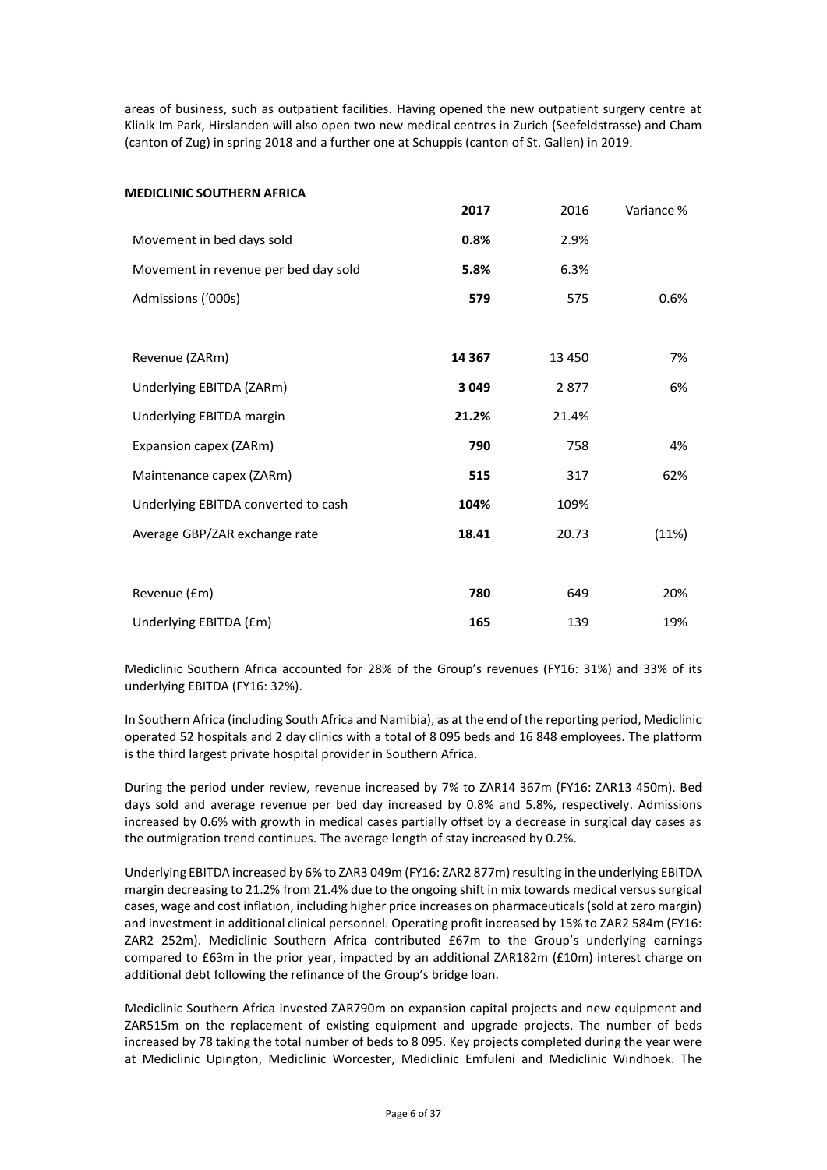areas of business, such as outpatient facilities. Having opened the new outpatient surgery centre at Klinik Im Park, Hirslanden will also open two new medical centres in Zurich (Seefeldstrasse) and Cham (canton of Zug) in spring 2018 and a further one at Schuppis (canton of St. Gallen) in 2019.

| <b>MEDICLINIC SOUTHERN AFRICA</b>    |         |        |            |
|--------------------------------------|---------|--------|------------|
|                                      | 2017    | 2016   | Variance % |
| Movement in bed days sold            | 0.8%    | 2.9%   |            |
| Movement in revenue per bed day sold | 5.8%    | 6.3%   |            |
| Admissions ('000s)                   | 579     | 575    | 0.6%       |
|                                      |         |        |            |
| Revenue (ZARm)                       | 14 3 67 | 13 450 | 7%         |
| Underlying EBITDA (ZARm)             | 3049    | 2877   | 6%         |
| Underlying EBITDA margin             | 21.2%   | 21.4%  |            |
| Expansion capex (ZARm)               | 790     | 758    | 4%         |
| Maintenance capex (ZARm)             | 515     | 317    | 62%        |
| Underlying EBITDA converted to cash  | 104%    | 109%   |            |
| Average GBP/ZAR exchange rate        | 18.41   | 20.73  | (11%)      |
|                                      |         |        |            |
| Revenue (£m)                         | 780     | 649    | 20%        |
| Underlying EBITDA (£m)               | 165     | 139    | 19%        |

Mediclinic Southern Africa accounted for 28% of the Group's revenues (FY16: 31%) and 33% of its underlying EBITDA (FY16: 32%).

In Southern Africa (including South Africa and Namibia), as at the end of the reporting period, Mediclinic operated 52 hospitals and 2 day clinics with a total of 8 095 beds and 16 848 employees. The platform is the third largest private hospital provider in Southern Africa.

During the period under review, revenue increased by 7% to ZAR14 367m (FY16: ZAR13 450m). Bed days sold and average revenue per bed day increased by 0.8% and 5.8%, respectively. Admissions increased by 0.6% with growth in medical cases partially offset by a decrease in surgical day cases as the outmigration trend continues. The average length of stay increased by 0.2%.

Underlying EBITDA increased by 6% to ZAR3 049m (FY16: ZAR2 877m) resulting in the underlying EBITDA margin decreasing to 21.2% from 21.4% due to the ongoing shift in mix towards medical versus surgical cases, wage and cost inflation, including higher price increases on pharmaceuticals (sold at zero margin) and investment in additional clinical personnel. Operating profit increased by 15% to ZAR2 584m (FY16: ZAR2 252m). Mediclinic Southern Africa contributed £67m to the Group's underlying earnings compared to £63m in the prior year, impacted by an additional ZAR182m (£10m) interest charge on additional debt following the refinance of the Group's bridge loan.

Mediclinic Southern Africa invested ZAR790m on expansion capital projects and new equipment and ZAR515m on the replacement of existing equipment and upgrade projects. The number of beds increased by 78 taking the total number of beds to 8 095. Key projects completed during the year were at Mediclinic Upington, Mediclinic Worcester, Mediclinic Emfuleni and Mediclinic Windhoek. The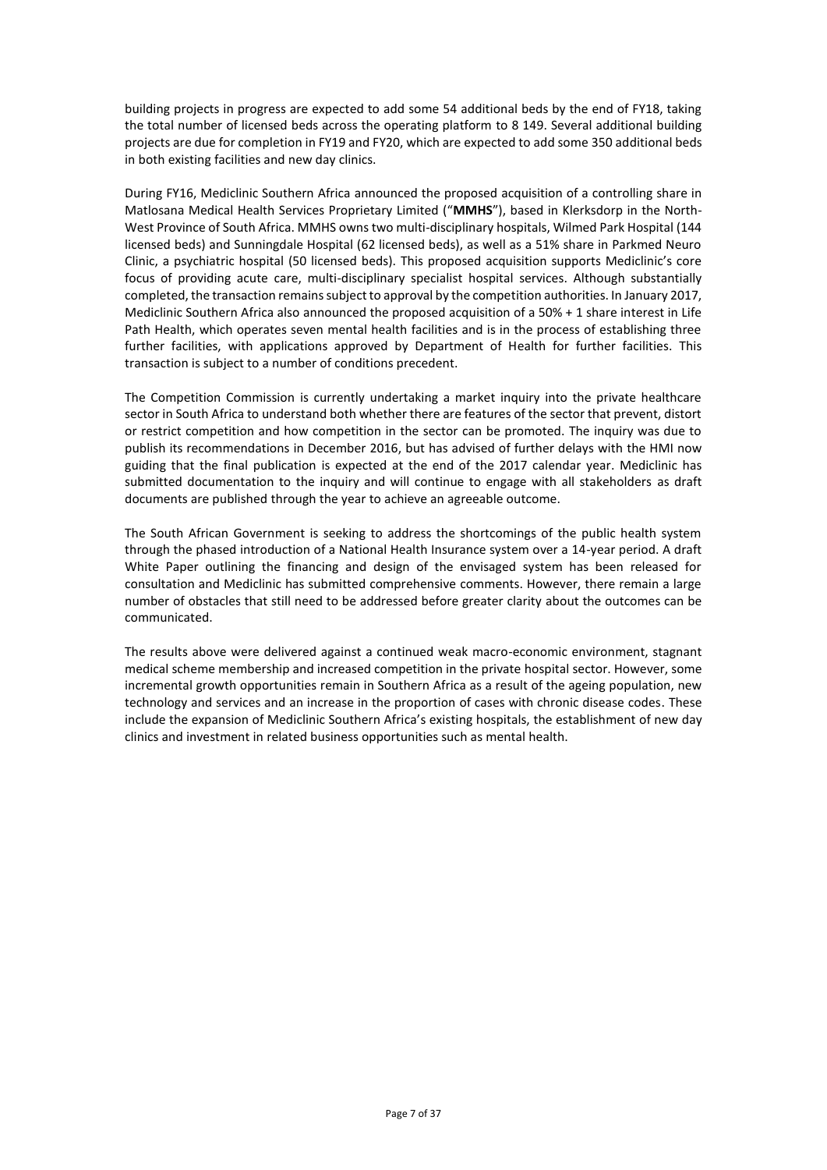building projects in progress are expected to add some 54 additional beds by the end of FY18, taking the total number of licensed beds across the operating platform to 8 149. Several additional building projects are due for completion in FY19 and FY20, which are expected to add some 350 additional beds in both existing facilities and new day clinics.

During FY16, Mediclinic Southern Africa announced the proposed acquisition of a controlling share in Matlosana Medical Health Services Proprietary Limited ("**MMHS**"), based in Klerksdorp in the North-West Province of South Africa. MMHS owns two multi-disciplinary hospitals, Wilmed Park Hospital (144 licensed beds) and Sunningdale Hospital (62 licensed beds), as well as a 51% share in Parkmed Neuro Clinic, a psychiatric hospital (50 licensed beds). This proposed acquisition supports Mediclinic's core focus of providing acute care, multi-disciplinary specialist hospital services. Although substantially completed, the transaction remains subject to approval by the competition authorities. In January 2017, Mediclinic Southern Africa also announced the proposed acquisition of a 50% + 1 share interest in Life Path Health, which operates seven mental health facilities and is in the process of establishing three further facilities, with applications approved by Department of Health for further facilities. This transaction is subject to a number of conditions precedent.

The Competition Commission is currently undertaking a market inquiry into the private healthcare sector in South Africa to understand both whether there are features of the sector that prevent, distort or restrict competition and how competition in the sector can be promoted. The inquiry was due to publish its recommendations in December 2016, but has advised of further delays with the HMI now guiding that the final publication is expected at the end of the 2017 calendar year. Mediclinic has submitted documentation to the inquiry and will continue to engage with all stakeholders as draft documents are published through the year to achieve an agreeable outcome.

The South African Government is seeking to address the shortcomings of the public health system through the phased introduction of a National Health Insurance system over a 14-year period. A draft White Paper outlining the financing and design of the envisaged system has been released for consultation and Mediclinic has submitted comprehensive comments. However, there remain a large number of obstacles that still need to be addressed before greater clarity about the outcomes can be communicated.

The results above were delivered against a continued weak macro-economic environment, stagnant medical scheme membership and increased competition in the private hospital sector. However, some incremental growth opportunities remain in Southern Africa as a result of the ageing population, new technology and services and an increase in the proportion of cases with chronic disease codes. These include the expansion of Mediclinic Southern Africa's existing hospitals, the establishment of new day clinics and investment in related business opportunities such as mental health.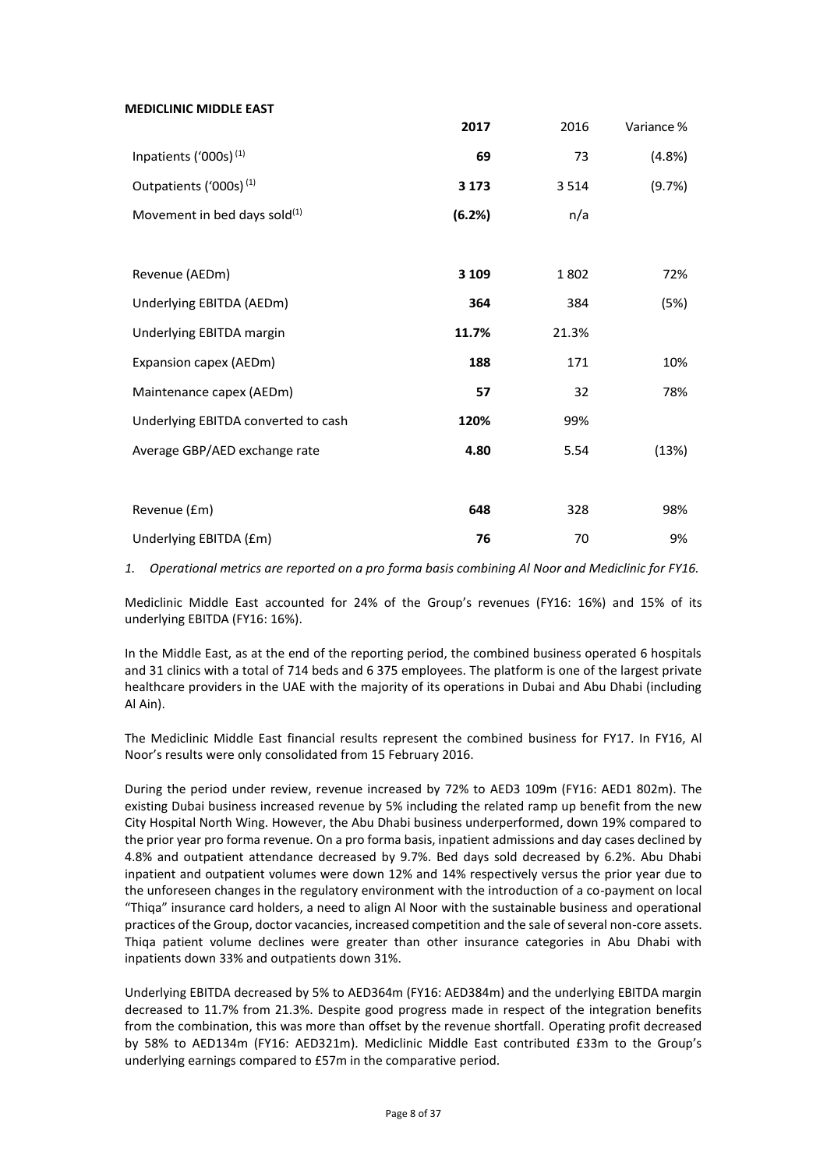## **MEDICLINIC MIDDLE EAST**

|                                     | 2017    | 2016  | Variance % |
|-------------------------------------|---------|-------|------------|
| Inpatients ('000s) <sup>(1)</sup>   | 69      | 73    | (4.8%)     |
| Outpatients ('000s) <sup>(1)</sup>  | 3 1 7 3 | 3514  | (9.7%)     |
| Movement in bed days sold $^{(1)}$  | (6.2%)  | n/a   |            |
|                                     |         |       |            |
| Revenue (AEDm)                      | 3 1 0 9 | 1802  | 72%        |
| Underlying EBITDA (AEDm)            | 364     | 384   | (5%)       |
| Underlying EBITDA margin            | 11.7%   | 21.3% |            |
| Expansion capex (AEDm)              | 188     | 171   | 10%        |
| Maintenance capex (AEDm)            | 57      | 32    | 78%        |
| Underlying EBITDA converted to cash | 120%    | 99%   |            |
| Average GBP/AED exchange rate       | 4.80    | 5.54  | (13%)      |
|                                     |         |       |            |
| Revenue (£m)                        | 648     | 328   | 98%        |
| Underlying EBITDA (£m)              | 76      | 70    | 9%         |

*1. Operational metrics are reported on a pro forma basis combining Al Noor and Mediclinic for FY16.*

Mediclinic Middle East accounted for 24% of the Group's revenues (FY16: 16%) and 15% of its underlying EBITDA (FY16: 16%).

In the Middle East, as at the end of the reporting period, the combined business operated 6 hospitals and 31 clinics with a total of 714 beds and 6 375 employees. The platform is one of the largest private healthcare providers in the UAE with the majority of its operations in Dubai and Abu Dhabi (including Al Ain).

The Mediclinic Middle East financial results represent the combined business for FY17. In FY16, Al Noor's results were only consolidated from 15 February 2016.

During the period under review, revenue increased by 72% to AED3 109m (FY16: AED1 802m). The existing Dubai business increased revenue by 5% including the related ramp up benefit from the new City Hospital North Wing. However, the Abu Dhabi business underperformed, down 19% compared to the prior year pro forma revenue. On a pro forma basis, inpatient admissions and day cases declined by 4.8% and outpatient attendance decreased by 9.7%. Bed days sold decreased by 6.2%. Abu Dhabi inpatient and outpatient volumes were down 12% and 14% respectively versus the prior year due to the unforeseen changes in the regulatory environment with the introduction of a co-payment on local "Thiqa" insurance card holders, a need to align Al Noor with the sustainable business and operational practices of the Group, doctor vacancies, increased competition and the sale of several non-core assets. Thiqa patient volume declines were greater than other insurance categories in Abu Dhabi with inpatients down 33% and outpatients down 31%.

Underlying EBITDA decreased by 5% to AED364m (FY16: AED384m) and the underlying EBITDA margin decreased to 11.7% from 21.3%. Despite good progress made in respect of the integration benefits from the combination, this was more than offset by the revenue shortfall. Operating profit decreased by 58% to AED134m (FY16: AED321m). Mediclinic Middle East contributed £33m to the Group's underlying earnings compared to £57m in the comparative period.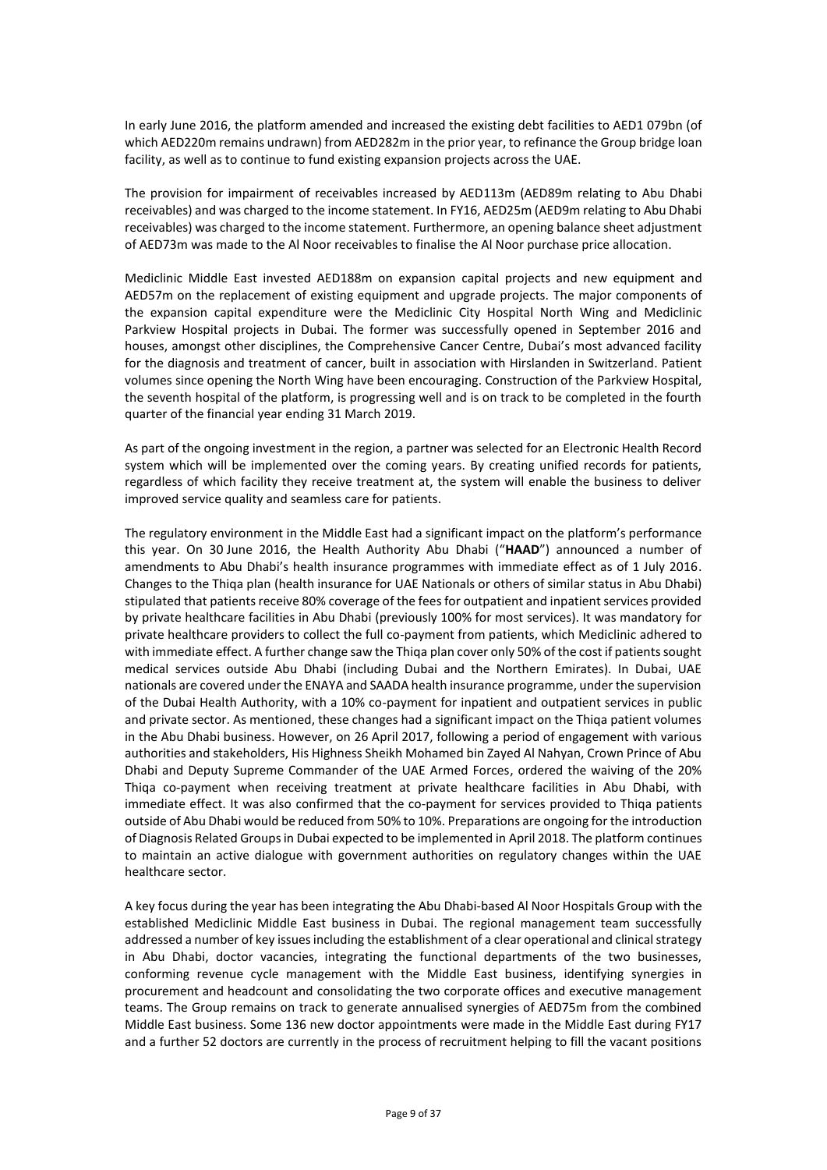In early June 2016, the platform amended and increased the existing debt facilities to AED1 079bn (of which AED220m remains undrawn) from AED282m in the prior year, to refinance the Group bridge loan facility, as well as to continue to fund existing expansion projects across the UAE.

The provision for impairment of receivables increased by AED113m (AED89m relating to Abu Dhabi receivables) and was charged to the income statement. In FY16, AED25m (AED9m relating to Abu Dhabi receivables) was charged to the income statement. Furthermore, an opening balance sheet adjustment of AED73m was made to the Al Noor receivables to finalise the Al Noor purchase price allocation.

Mediclinic Middle East invested AED188m on expansion capital projects and new equipment and AED57m on the replacement of existing equipment and upgrade projects. The major components of the expansion capital expenditure were the Mediclinic City Hospital North Wing and Mediclinic Parkview Hospital projects in Dubai. The former was successfully opened in September 2016 and houses, amongst other disciplines, the Comprehensive Cancer Centre, Dubai's most advanced facility for the diagnosis and treatment of cancer, built in association with Hirslanden in Switzerland. Patient volumes since opening the North Wing have been encouraging. Construction of the Parkview Hospital, the seventh hospital of the platform, is progressing well and is on track to be completed in the fourth quarter of the financial year ending 31 March 2019.

As part of the ongoing investment in the region, a partner was selected for an Electronic Health Record system which will be implemented over the coming years. By creating unified records for patients, regardless of which facility they receive treatment at, the system will enable the business to deliver improved service quality and seamless care for patients.

The regulatory environment in the Middle East had a significant impact on the platform's performance this year. On 30 June 2016, the Health Authority Abu Dhabi ("**HAAD**") announced a number of amendments to Abu Dhabi's health insurance programmes with immediate effect as of 1 July 2016. Changes to the Thiqa plan (health insurance for UAE Nationals or others of similar status in Abu Dhabi) stipulated that patients receive 80% coverage of the fees for outpatient and inpatient services provided by private healthcare facilities in Abu Dhabi (previously 100% for most services). It was mandatory for private healthcare providers to collect the full co-payment from patients, which Mediclinic adhered to with immediate effect. A further change saw the Thiqa plan cover only 50% of the cost if patients sought medical services outside Abu Dhabi (including Dubai and the Northern Emirates). In Dubai, UAE nationals are covered under the ENAYA and SAADA health insurance programme, under the supervision of the Dubai Health Authority, with a 10% co-payment for inpatient and outpatient services in public and private sector. As mentioned, these changes had a significant impact on the Thiqa patient volumes in the Abu Dhabi business. However, on 26 April 2017, following a period of engagement with various authorities and stakeholders, His Highness Sheikh Mohamed bin Zayed Al Nahyan, Crown Prince of Abu Dhabi and Deputy Supreme Commander of the UAE Armed Forces, ordered the waiving of the 20% Thiqa co-payment when receiving treatment at private healthcare facilities in Abu Dhabi, with immediate effect. It was also confirmed that the co-payment for services provided to Thiqa patients outside of Abu Dhabi would be reduced from 50% to 10%. Preparations are ongoing for the introduction of Diagnosis Related Groups in Dubai expected to be implemented in April 2018. The platform continues to maintain an active dialogue with government authorities on regulatory changes within the UAE healthcare sector.

A key focus during the year has been integrating the Abu Dhabi-based Al Noor Hospitals Group with the established Mediclinic Middle East business in Dubai. The regional management team successfully addressed a number of key issues including the establishment of a clear operational and clinical strategy in Abu Dhabi, doctor vacancies, integrating the functional departments of the two businesses, conforming revenue cycle management with the Middle East business, identifying synergies in procurement and headcount and consolidating the two corporate offices and executive management teams. The Group remains on track to generate annualised synergies of AED75m from the combined Middle East business. Some 136 new doctor appointments were made in the Middle East during FY17 and a further 52 doctors are currently in the process of recruitment helping to fill the vacant positions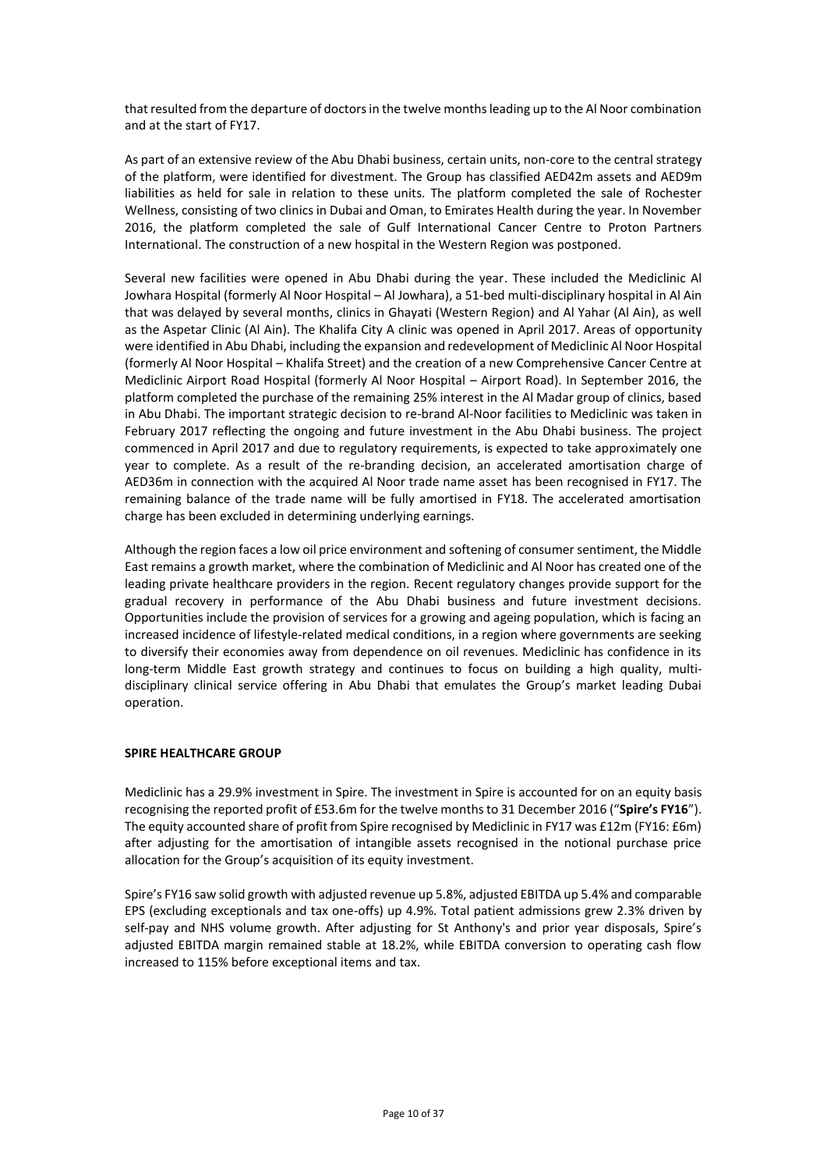that resulted from the departure of doctors in the twelve months leading up to the Al Noor combination and at the start of FY17.

As part of an extensive review of the Abu Dhabi business, certain units, non-core to the central strategy of the platform, were identified for divestment. The Group has classified AED42m assets and AED9m liabilities as held for sale in relation to these units. The platform completed the sale of Rochester Wellness, consisting of two clinics in Dubai and Oman, to Emirates Health during the year. In November 2016, the platform completed the sale of Gulf International Cancer Centre to Proton Partners International. The construction of a new hospital in the Western Region was postponed.

Several new facilities were opened in Abu Dhabi during the year. These included the Mediclinic Al Jowhara Hospital (formerly Al Noor Hospital – Al Jowhara), a 51-bed multi-disciplinary hospital in Al Ain that was delayed by several months, clinics in Ghayati (Western Region) and Al Yahar (Al Ain), as well as the Aspetar Clinic (Al Ain). The Khalifa City A clinic was opened in April 2017. Areas of opportunity were identified in Abu Dhabi, including the expansion and redevelopment of Mediclinic Al Noor Hospital (formerly Al Noor Hospital – Khalifa Street) and the creation of a new Comprehensive Cancer Centre at Mediclinic Airport Road Hospital (formerly Al Noor Hospital – Airport Road). In September 2016, the platform completed the purchase of the remaining 25% interest in the Al Madar group of clinics, based in Abu Dhabi. The important strategic decision to re-brand Al-Noor facilities to Mediclinic was taken in February 2017 reflecting the ongoing and future investment in the Abu Dhabi business. The project commenced in April 2017 and due to regulatory requirements, is expected to take approximately one year to complete. As a result of the re-branding decision, an accelerated amortisation charge of AED36m in connection with the acquired Al Noor trade name asset has been recognised in FY17. The remaining balance of the trade name will be fully amortised in FY18. The accelerated amortisation charge has been excluded in determining underlying earnings.

Although the region faces a low oil price environment and softening of consumer sentiment, the Middle East remains a growth market, where the combination of Mediclinic and Al Noor has created one of the leading private healthcare providers in the region. Recent regulatory changes provide support for the gradual recovery in performance of the Abu Dhabi business and future investment decisions. Opportunities include the provision of services for a growing and ageing population, which is facing an increased incidence of lifestyle-related medical conditions, in a region where governments are seeking to diversify their economies away from dependence on oil revenues. Mediclinic has confidence in its long-term Middle East growth strategy and continues to focus on building a high quality, multidisciplinary clinical service offering in Abu Dhabi that emulates the Group's market leading Dubai operation.

# **SPIRE HEALTHCARE GROUP**

Mediclinic has a 29.9% investment in Spire. The investment in Spire is accounted for on an equity basis recognising the reported profit of £53.6m for the twelve months to 31 December 2016 ("**Spire's FY16**"). The equity accounted share of profit from Spire recognised by Mediclinic in FY17 was £12m (FY16: £6m) after adjusting for the amortisation of intangible assets recognised in the notional purchase price allocation for the Group's acquisition of its equity investment.

Spire's FY16 saw solid growth with adjusted revenue up 5.8%, adjusted EBITDA up 5.4% and comparable EPS (excluding exceptionals and tax one-offs) up 4.9%. Total patient admissions grew 2.3% driven by self-pay and NHS volume growth. After adjusting for St Anthony's and prior year disposals, Spire's adjusted EBITDA margin remained stable at 18.2%, while EBITDA conversion to operating cash flow increased to 115% before exceptional items and tax.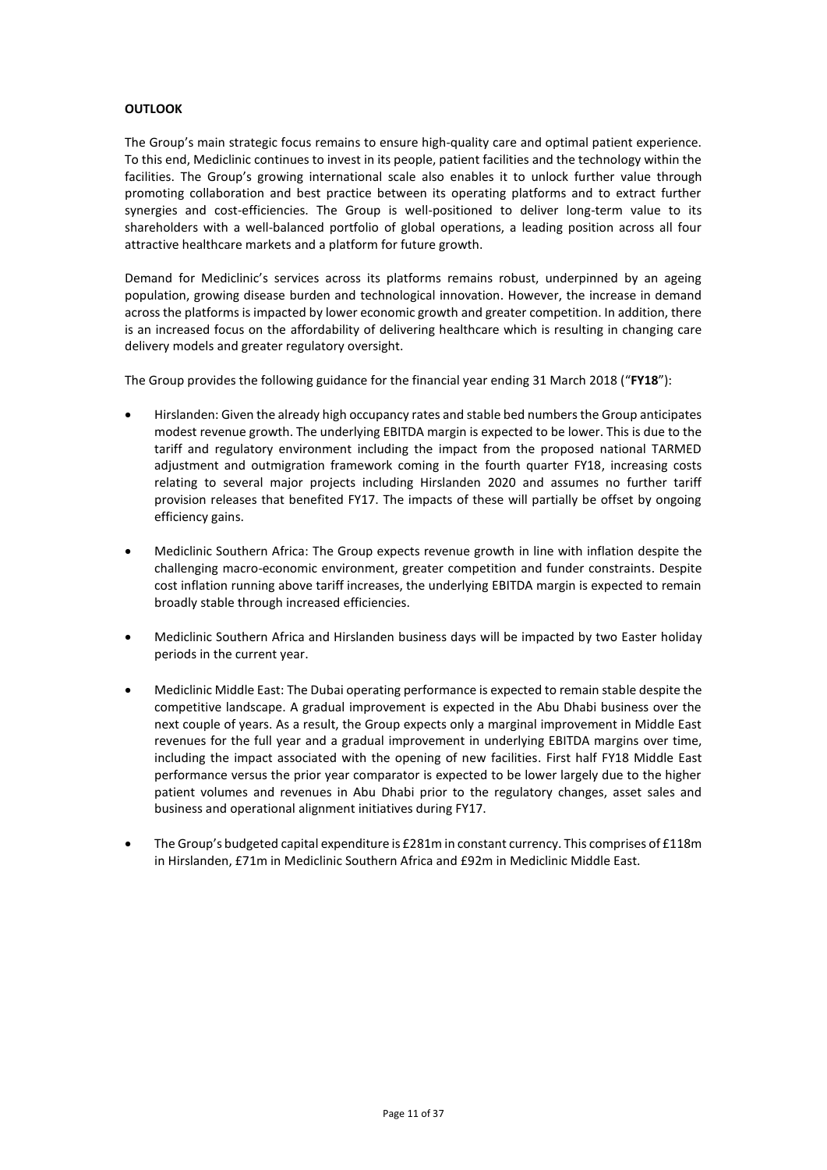## **OUTLOOK**

The Group's main strategic focus remains to ensure high-quality care and optimal patient experience. To this end, Mediclinic continues to invest in its people, patient facilities and the technology within the facilities. The Group's growing international scale also enables it to unlock further value through promoting collaboration and best practice between its operating platforms and to extract further synergies and cost-efficiencies. The Group is well-positioned to deliver long-term value to its shareholders with a well-balanced portfolio of global operations, a leading position across all four attractive healthcare markets and a platform for future growth.

Demand for Mediclinic's services across its platforms remains robust, underpinned by an ageing population, growing disease burden and technological innovation. However, the increase in demand across the platforms is impacted by lower economic growth and greater competition. In addition, there is an increased focus on the affordability of delivering healthcare which is resulting in changing care delivery models and greater regulatory oversight.

The Group provides the following guidance for the financial year ending 31 March 2018 ("**FY18**"):

- Hirslanden: Given the already high occupancy rates and stable bed numbers the Group anticipates modest revenue growth. The underlying EBITDA margin is expected to be lower. This is due to the tariff and regulatory environment including the impact from the proposed national TARMED adjustment and outmigration framework coming in the fourth quarter FY18, increasing costs relating to several major projects including Hirslanden 2020 and assumes no further tariff provision releases that benefited FY17. The impacts of these will partially be offset by ongoing efficiency gains.
- Mediclinic Southern Africa: The Group expects revenue growth in line with inflation despite the challenging macro-economic environment, greater competition and funder constraints. Despite cost inflation running above tariff increases, the underlying EBITDA margin is expected to remain broadly stable through increased efficiencies.
- Mediclinic Southern Africa and Hirslanden business days will be impacted by two Easter holiday periods in the current year.
- Mediclinic Middle East: The Dubai operating performance is expected to remain stable despite the competitive landscape. A gradual improvement is expected in the Abu Dhabi business over the next couple of years. As a result, the Group expects only a marginal improvement in Middle East revenues for the full year and a gradual improvement in underlying EBITDA margins over time, including the impact associated with the opening of new facilities. First half FY18 Middle East performance versus the prior year comparator is expected to be lower largely due to the higher patient volumes and revenues in Abu Dhabi prior to the regulatory changes, asset sales and business and operational alignment initiatives during FY17.
- The Group's budgeted capital expenditure is £281m in constant currency. This comprises of £118m in Hirslanden, £71m in Mediclinic Southern Africa and £92m in Mediclinic Middle East.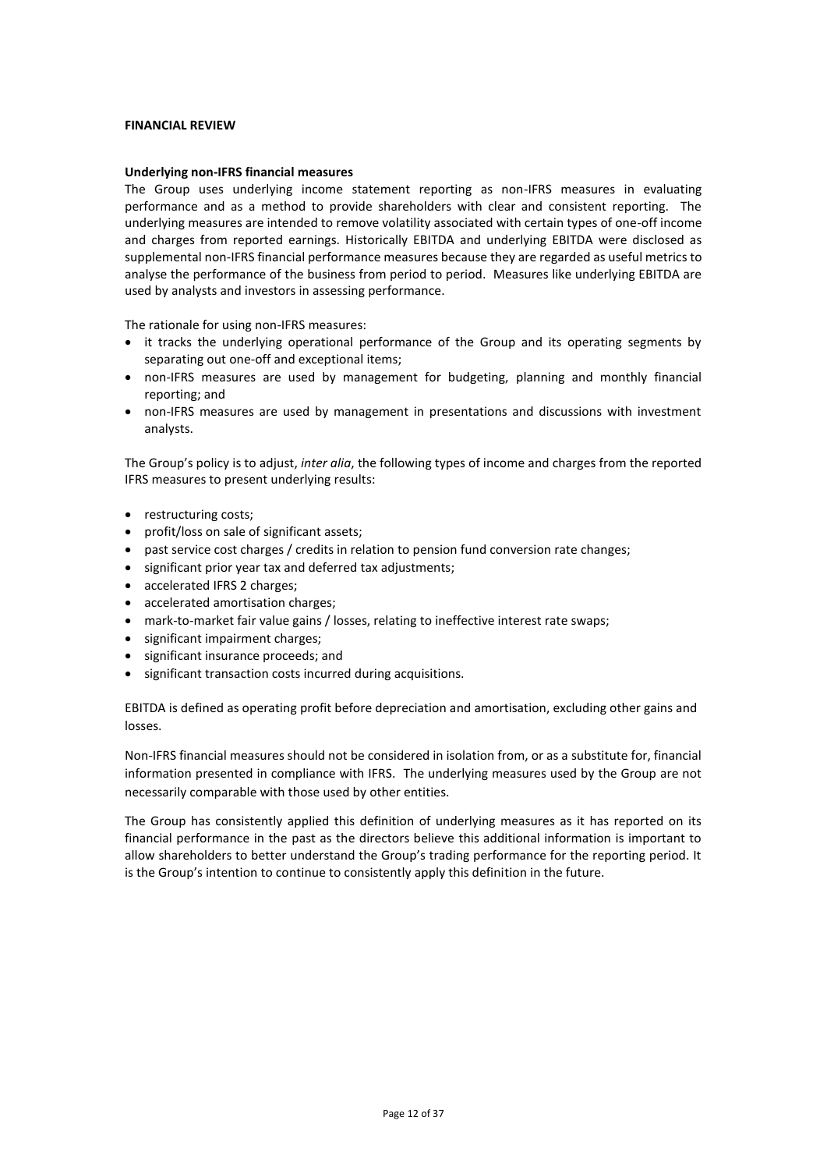### **FINANCIAL REVIEW**

### **Underlying non-IFRS financial measures**

The Group uses underlying income statement reporting as non-IFRS measures in evaluating performance and as a method to provide shareholders with clear and consistent reporting. The underlying measures are intended to remove volatility associated with certain types of one-off income and charges from reported earnings. Historically EBITDA and underlying EBITDA were disclosed as supplemental non-IFRS financial performance measures because they are regarded as useful metrics to analyse the performance of the business from period to period. Measures like underlying EBITDA are used by analysts and investors in assessing performance.

The rationale for using non-IFRS measures:

- it tracks the underlying operational performance of the Group and its operating segments by separating out one-off and exceptional items;
- non-IFRS measures are used by management for budgeting, planning and monthly financial reporting; and
- non-IFRS measures are used by management in presentations and discussions with investment analysts.

The Group's policy is to adjust, *inter alia*, the following types of income and charges from the reported IFRS measures to present underlying results:

- restructuring costs;
- profit/loss on sale of significant assets;
- past service cost charges / credits in relation to pension fund conversion rate changes;
- significant prior year tax and deferred tax adjustments;
- accelerated IFRS 2 charges;
- accelerated amortisation charges;
- mark-to-market fair value gains / losses, relating to ineffective interest rate swaps;
- significant impairment charges;
- significant insurance proceeds; and
- significant transaction costs incurred during acquisitions.

EBITDA is defined as operating profit before depreciation and amortisation, excluding other gains and losses.

Non-IFRS financial measures should not be considered in isolation from, or as a substitute for, financial information presented in compliance with IFRS. The underlying measures used by the Group are not necessarily comparable with those used by other entities.

The Group has consistently applied this definition of underlying measures as it has reported on its financial performance in the past as the directors believe this additional information is important to allow shareholders to better understand the Group's trading performance for the reporting period. It is the Group's intention to continue to consistently apply this definition in the future.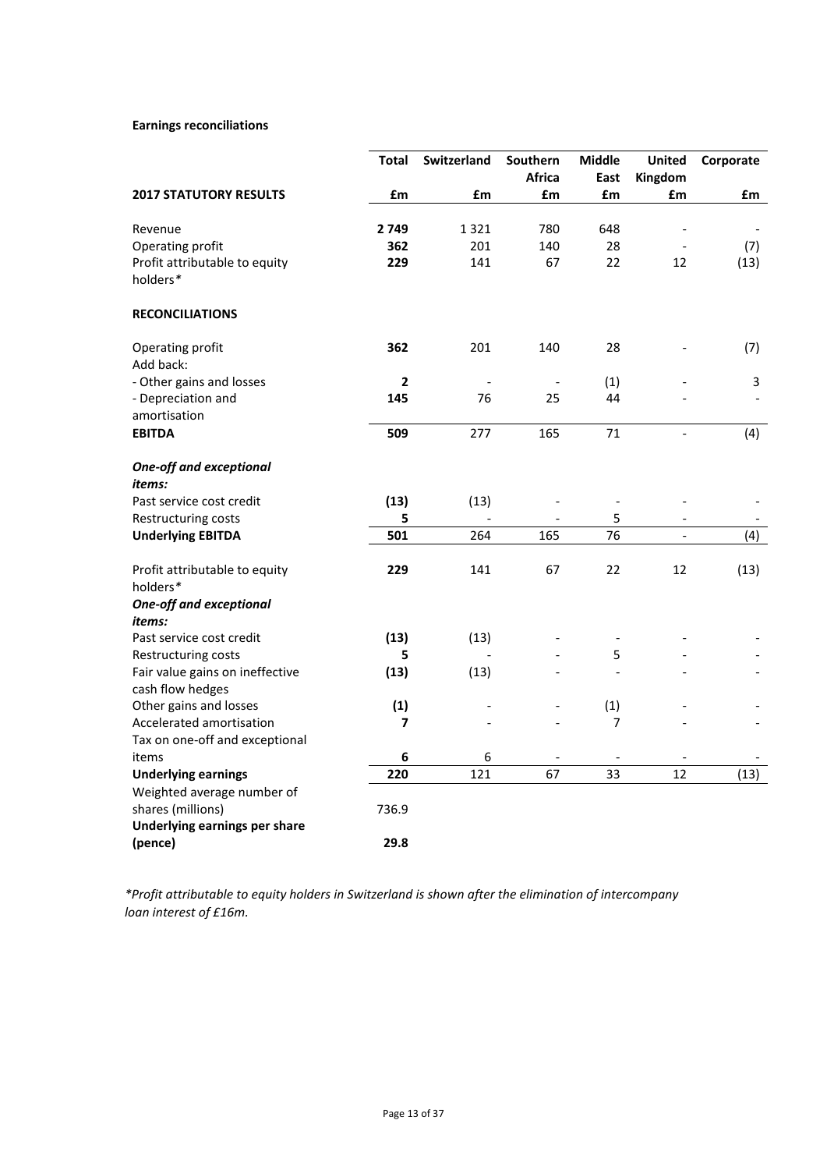# **Earnings reconciliations**

|                                                     | <b>Total</b> | <b>Switzerland</b> | Southern      | <b>Middle</b> | <b>United</b>            | Corporate |
|-----------------------------------------------------|--------------|--------------------|---------------|---------------|--------------------------|-----------|
|                                                     |              |                    | <b>Africa</b> | East          | Kingdom                  |           |
| <b>2017 STATUTORY RESULTS</b>                       | £m           | £m                 | £m            | £m            | £m                       | £m        |
| Revenue                                             | 2 7 4 9      | 1321               | 780           | 648           |                          |           |
| Operating profit                                    | 362          | 201                | 140           | 28            |                          | (7)       |
| Profit attributable to equity                       | 229          | 141                | 67            | 22            | 12                       | (13)      |
| holders*                                            |              |                    |               |               |                          |           |
| <b>RECONCILIATIONS</b>                              |              |                    |               |               |                          |           |
| Operating profit                                    | 362          | 201                | 140           | 28            |                          | (7)       |
| Add back:                                           |              |                    |               |               |                          |           |
| - Other gains and losses                            | $\mathbf{2}$ |                    |               | (1)           |                          | 3         |
| - Depreciation and                                  | 145          | 76                 | 25            | 44            |                          |           |
| amortisation                                        |              |                    |               |               |                          |           |
| <b>EBITDA</b>                                       | 509          | 277                | 165           | 71            | $\overline{a}$           | (4)       |
| <b>One-off and exceptional</b>                      |              |                    |               |               |                          |           |
| <i>items:</i>                                       |              |                    |               |               |                          |           |
| Past service cost credit                            | (13)         | (13)               |               |               |                          |           |
| Restructuring costs                                 | 5            |                    |               | 5             |                          |           |
| <b>Underlying EBITDA</b>                            | 501          | 264                | 165           | 76            | $\overline{\phantom{0}}$ | (4)       |
| Profit attributable to equity                       | 229          | 141                | 67            | 22            | 12                       | (13)      |
| holders*                                            |              |                    |               |               |                          |           |
| <b>One-off and exceptional</b><br>items:            |              |                    |               |               |                          |           |
| Past service cost credit                            | (13)         | (13)               |               |               |                          |           |
| Restructuring costs                                 | 5            |                    |               | 5             |                          |           |
| Fair value gains on ineffective<br>cash flow hedges | (13)         | (13)               |               | $\frac{1}{2}$ |                          |           |
| Other gains and losses                              | (1)          |                    |               | (1)           |                          |           |
| Accelerated amortisation                            | 7            |                    |               | 7             |                          |           |
| Tax on one-off and exceptional                      |              |                    |               |               |                          |           |
| items                                               | 6            | 6                  |               |               |                          |           |
| <b>Underlying earnings</b>                          | 220          | 121                | 67            | 33            | 12                       | (13)      |
| Weighted average number of                          |              |                    |               |               |                          |           |
| shares (millions)                                   | 736.9        |                    |               |               |                          |           |
| Underlying earnings per share                       |              |                    |               |               |                          |           |
| (pence)                                             | 29.8         |                    |               |               |                          |           |

*\*Profit attributable to equity holders in Switzerland is shown after the elimination of intercompany loan interest of £16m.*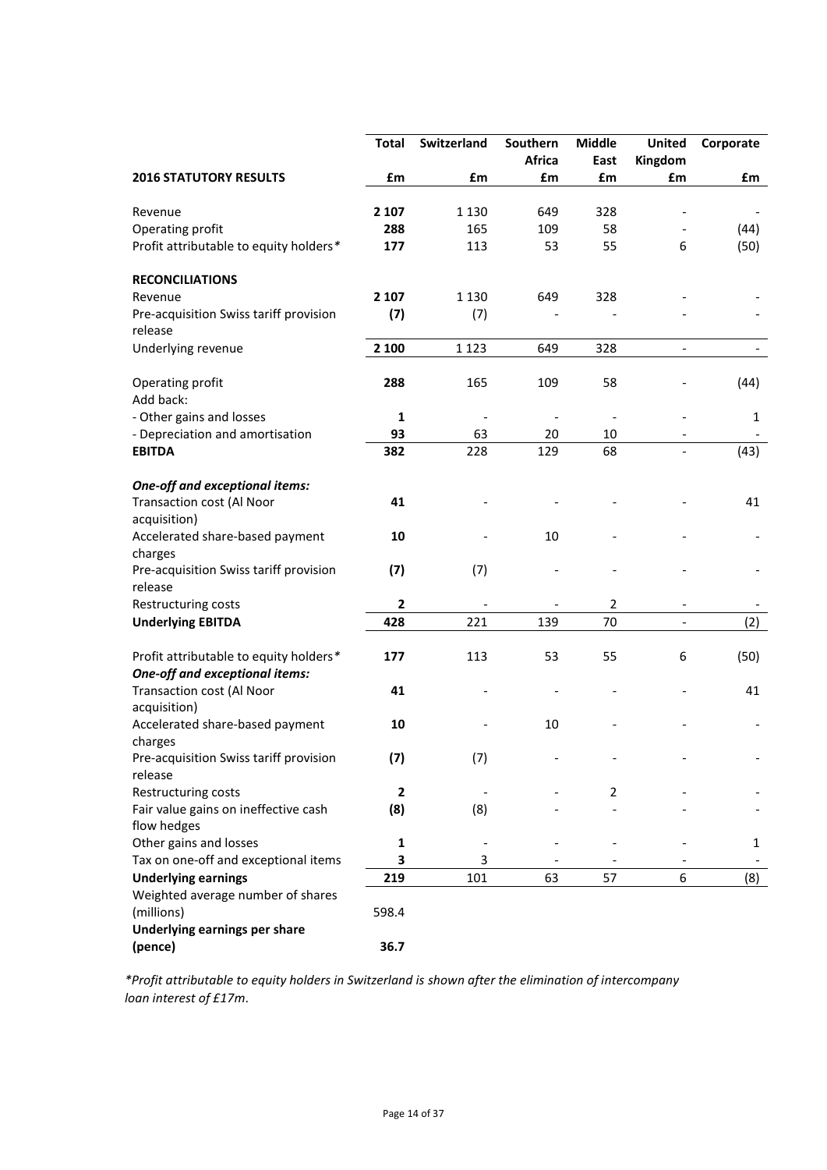|                                                                                 | Total             | Switzerland | Southern | <b>Middle</b>  | <b>United</b> | Corporate |
|---------------------------------------------------------------------------------|-------------------|-------------|----------|----------------|---------------|-----------|
|                                                                                 |                   |             | Africa   | East           | Kingdom       |           |
| <b>2016 STATUTORY RESULTS</b>                                                   | $\pmb{\text{fm}}$ | £m          | £m       | £m             | £m            | £m        |
| Revenue                                                                         | 2 1 0 7           | 1 1 3 0     | 649      | 328            |               |           |
| Operating profit                                                                | 288               | 165         | 109      | 58             |               | (44)      |
| Profit attributable to equity holders*                                          | 177               | 113         | 53       | 55             | 6             | (50)      |
| <b>RECONCILIATIONS</b>                                                          |                   |             |          |                |               |           |
| Revenue                                                                         | 2 1 0 7           | 1 1 3 0     | 649      | 328            |               |           |
| Pre-acquisition Swiss tariff provision<br>release                               | (7)               | (7)         |          |                |               |           |
| Underlying revenue                                                              | 2 100             | 1 1 2 3     | 649      | 328            |               |           |
| Operating profit<br>Add back:                                                   | 288               | 165         | 109      | 58             |               | (44)      |
| - Other gains and losses                                                        | 1                 |             |          |                |               | 1         |
| - Depreciation and amortisation                                                 | 93                | 63          | 20       | 10             |               |           |
| <b>EBITDA</b>                                                                   | 382               | 228         | 129      | 68             |               | (43)      |
| One-off and exceptional items:                                                  |                   |             |          |                |               |           |
| <b>Transaction cost (Al Noor</b><br>acquisition)                                | 41                |             |          |                |               | 41        |
| Accelerated share-based payment<br>charges                                      | 10                |             | 10       |                |               |           |
| Pre-acquisition Swiss tariff provision<br>release                               | (7)               | (7)         |          |                |               |           |
| Restructuring costs                                                             | $\mathbf{2}$      |             |          | $\overline{2}$ |               |           |
| <b>Underlying EBITDA</b>                                                        | 428               | 221         | 139      | 70             |               | (2)       |
| Profit attributable to equity holders*<br><b>One-off and exceptional items:</b> | 177               | 113         | 53       | 55             | 6             | (50)      |
| <b>Transaction cost (Al Noor</b><br>acquisition)                                | 41                |             |          |                |               | 41        |
| Accelerated share-based payment<br>charges                                      | 10                |             | 10       |                |               |           |
| Pre-acquisition Swiss tariff provision<br>release                               | (7)               | (7)         |          |                |               |           |
| Restructuring costs                                                             | $\mathbf{2}$      |             |          | 2              |               |           |
| Fair value gains on ineffective cash                                            | (8)               | (8)         |          |                |               |           |
| flow hedges                                                                     |                   |             |          |                |               |           |
| Other gains and losses                                                          | 1                 |             |          |                |               | 1         |
| Tax on one-off and exceptional items                                            | 3                 | 3           |          |                |               |           |
| <b>Underlying earnings</b>                                                      | 219               | 101         | 63       | 57             | 6             | (8)       |
| Weighted average number of shares                                               |                   |             |          |                |               |           |
| (millions)                                                                      | 598.4             |             |          |                |               |           |
| Underlying earnings per share                                                   |                   |             |          |                |               |           |
| (pence)                                                                         | 36.7              |             |          |                |               |           |

*\*Profit attributable to equity holders in Switzerland is shown after the elimination of intercompany loan interest of £17m*.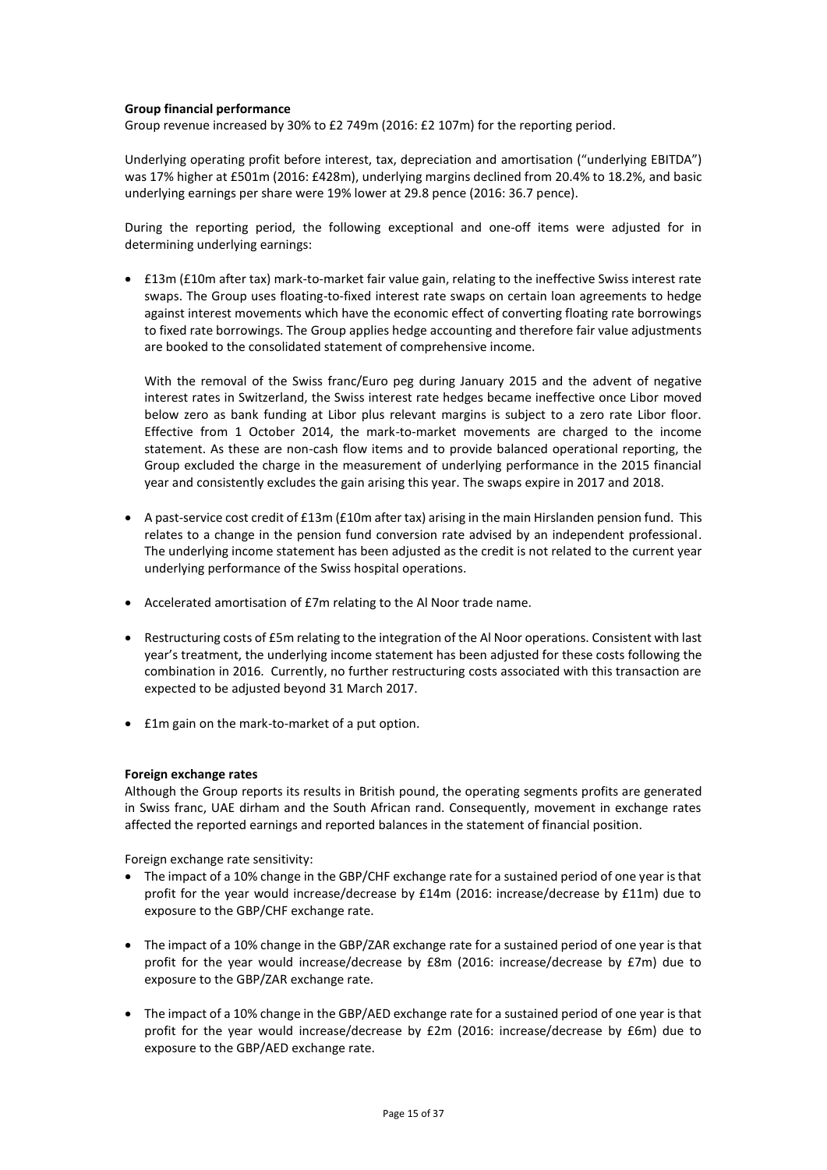## **Group financial performance**

Group revenue increased by 30% to £2 749m (2016: £2 107m) for the reporting period.

Underlying operating profit before interest, tax, depreciation and amortisation ("underlying EBITDA") was 17% higher at £501m (2016: £428m), underlying margins declined from 20.4% to 18.2%, and basic underlying earnings per share were 19% lower at 29.8 pence (2016: 36.7 pence).

During the reporting period, the following exceptional and one-off items were adjusted for in determining underlying earnings:

• £13m (£10m after tax) mark-to-market fair value gain, relating to the ineffective Swiss interest rate swaps. The Group uses floating-to-fixed interest rate swaps on certain loan agreements to hedge against interest movements which have the economic effect of converting floating rate borrowings to fixed rate borrowings. The Group applies hedge accounting and therefore fair value adjustments are booked to the consolidated statement of comprehensive income.

With the removal of the Swiss franc/Euro peg during January 2015 and the advent of negative interest rates in Switzerland, the Swiss interest rate hedges became ineffective once Libor moved below zero as bank funding at Libor plus relevant margins is subject to a zero rate Libor floor. Effective from 1 October 2014, the mark-to-market movements are charged to the income statement. As these are non-cash flow items and to provide balanced operational reporting, the Group excluded the charge in the measurement of underlying performance in the 2015 financial year and consistently excludes the gain arising this year. The swaps expire in 2017 and 2018.

- A past-service cost credit of £13m (£10m after tax) arising in the main Hirslanden pension fund. This relates to a change in the pension fund conversion rate advised by an independent professional. The underlying income statement has been adjusted as the credit is not related to the current year underlying performance of the Swiss hospital operations.
- Accelerated amortisation of £7m relating to the Al Noor trade name.
- Restructuring costs of £5m relating to the integration of the Al Noor operations. Consistent with last year's treatment, the underlying income statement has been adjusted for these costs following the combination in 2016. Currently, no further restructuring costs associated with this transaction are expected to be adjusted beyond 31 March 2017.
- £1m gain on the mark-to-market of a put option.

### **Foreign exchange rates**

Although the Group reports its results in British pound, the operating segments profits are generated in Swiss franc, UAE dirham and the South African rand. Consequently, movement in exchange rates affected the reported earnings and reported balances in the statement of financial position.

Foreign exchange rate sensitivity:

- The impact of a 10% change in the GBP/CHF exchange rate for a sustained period of one year is that profit for the year would increase/decrease by £14m (2016: increase/decrease by £11m) due to exposure to the GBP/CHF exchange rate.
- The impact of a 10% change in the GBP/ZAR exchange rate for a sustained period of one year is that profit for the year would increase/decrease by £8m (2016: increase/decrease by £7m) due to exposure to the GBP/ZAR exchange rate.
- The impact of a 10% change in the GBP/AED exchange rate for a sustained period of one year is that profit for the year would increase/decrease by £2m (2016: increase/decrease by £6m) due to exposure to the GBP/AED exchange rate.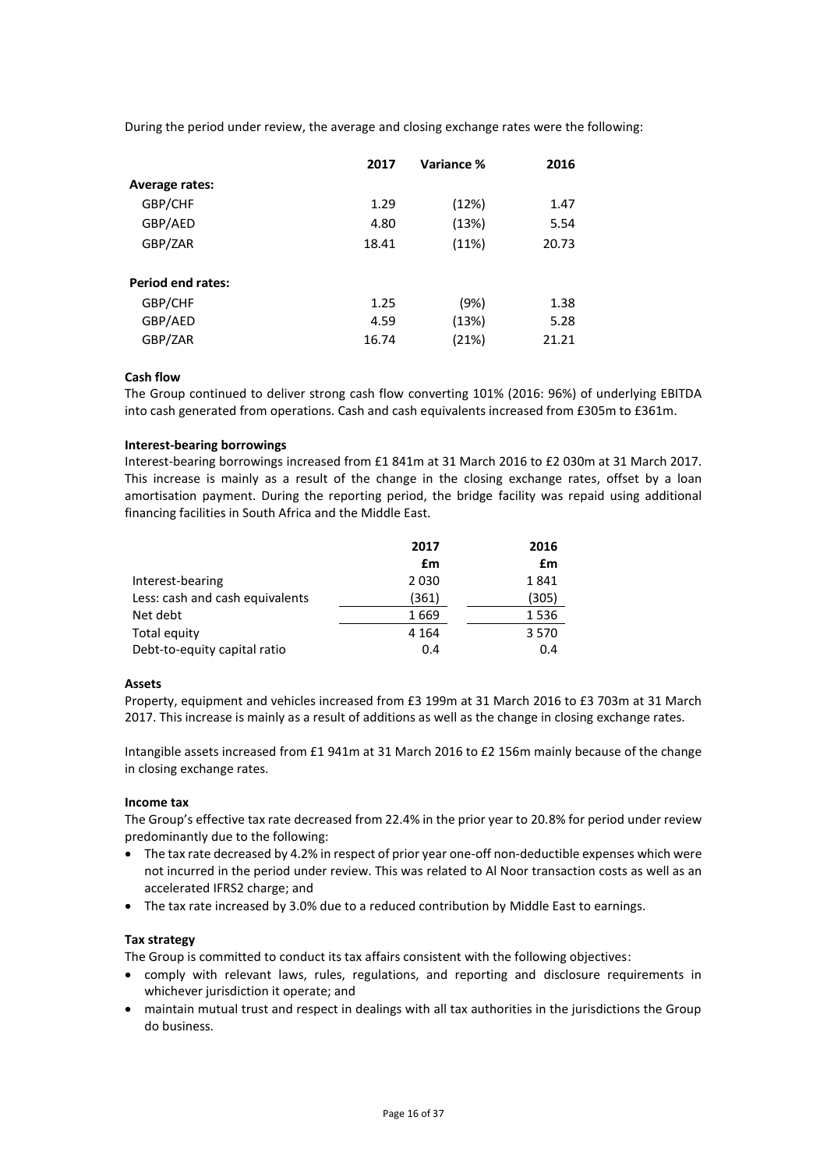During the period under review, the average and closing exchange rates were the following:

|                          | 2017  | Variance % | 2016  |
|--------------------------|-------|------------|-------|
| <b>Average rates:</b>    |       |            |       |
| GBP/CHF                  | 1.29  | (12%)      | 1.47  |
| GBP/AED                  | 4.80  | (13%)      | 5.54  |
| GBP/ZAR                  | 18.41 | (11%)      | 20.73 |
| <b>Period end rates:</b> |       |            |       |
| GBP/CHF                  | 1.25  | (9%)       | 1.38  |
| GBP/AED                  | 4.59  | (13%)      | 5.28  |
| GBP/ZAR                  | 16.74 | (21%)      | 21.21 |

## **Cash flow**

The Group continued to deliver strong cash flow converting 101% (2016: 96%) of underlying EBITDA into cash generated from operations. Cash and cash equivalents increased from £305m to £361m.

## **Interest-bearing borrowings**

Interest-bearing borrowings increased from £1 841m at 31 March 2016 to £2 030m at 31 March 2017. This increase is mainly as a result of the change in the closing exchange rates, offset by a loan amortisation payment. During the reporting period, the bridge facility was repaid using additional financing facilities in South Africa and the Middle East.

|                                 | 2017    | 2016    |
|---------------------------------|---------|---------|
|                                 | £m      | £m      |
| Interest-bearing                | 2030    | 1841    |
| Less: cash and cash equivalents | (361)   | (305)   |
| Net debt                        | 1669    | 1536    |
| Total equity                    | 4 1 6 4 | 3 5 7 0 |
| Debt-to-equity capital ratio    | 0.4     | 0.4     |

### **Assets**

Property, equipment and vehicles increased from £3 199m at 31 March 2016 to £3 703m at 31 March 2017. This increase is mainly as a result of additions as well as the change in closing exchange rates.

Intangible assets increased from £1 941m at 31 March 2016 to £2 156m mainly because of the change in closing exchange rates.

### **Income tax**

The Group's effective tax rate decreased from 22.4% in the prior year to 20.8% for period under review predominantly due to the following:

- The tax rate decreased by 4.2% in respect of prior year one-off non-deductible expenses which were not incurred in the period under review. This was related to Al Noor transaction costs as well as an accelerated IFRS2 charge; and
- The tax rate increased by 3.0% due to a reduced contribution by Middle East to earnings.

## **Tax strategy**

The Group is committed to conduct its tax affairs consistent with the following objectives:

- comply with relevant laws, rules, regulations, and reporting and disclosure requirements in whichever jurisdiction it operate; and
- maintain mutual trust and respect in dealings with all tax authorities in the jurisdictions the Group do business.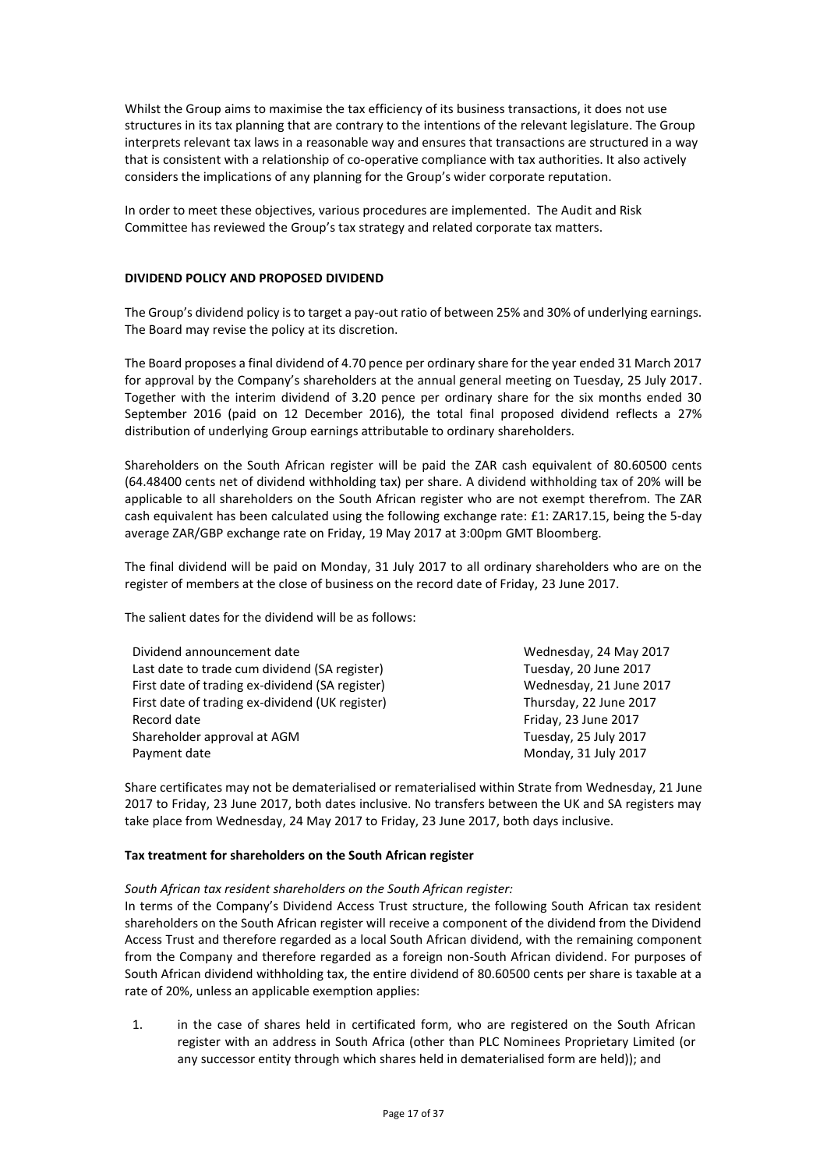Whilst the Group aims to maximise the tax efficiency of its business transactions, it does not use structures in its tax planning that are contrary to the intentions of the relevant legislature. The Group interprets relevant tax laws in a reasonable way and ensures that transactions are structured in a way that is consistent with a relationship of co-operative compliance with tax authorities. It also actively considers the implications of any planning for the Group's wider corporate reputation.

In order to meet these objectives, various procedures are implemented. The Audit and Risk Committee has reviewed the Group's tax strategy and related corporate tax matters.

## **DIVIDEND POLICY AND PROPOSED DIVIDEND**

The Group's dividend policy is to target a pay-out ratio of between 25% and 30% of underlying earnings. The Board may revise the policy at its discretion.

The Board proposes a final dividend of 4.70 pence per ordinary share for the year ended 31 March 2017 for approval by the Company's shareholders at the annual general meeting on Tuesday, 25 July 2017. Together with the interim dividend of 3.20 pence per ordinary share for the six months ended 30 September 2016 (paid on 12 December 2016), the total final proposed dividend reflects a 27% distribution of underlying Group earnings attributable to ordinary shareholders.

Shareholders on the South African register will be paid the ZAR cash equivalent of 80.60500 cents (64.48400 cents net of dividend withholding tax) per share. A dividend withholding tax of 20% will be applicable to all shareholders on the South African register who are not exempt therefrom. The ZAR cash equivalent has been calculated using the following exchange rate: £1: ZAR17.15, being the 5-day average ZAR/GBP exchange rate on Friday, 19 May 2017 at 3:00pm GMT Bloomberg.

The final dividend will be paid on Monday, 31 July 2017 to all ordinary shareholders who are on the register of members at the close of business on the record date of Friday, 23 June 2017.

The salient dates for the dividend will be as follows:

| Wednesday, 24 May 2017  |
|-------------------------|
| Tuesday, 20 June 2017   |
| Wednesday, 21 June 2017 |
| Thursday, 22 June 2017  |
| Friday, 23 June 2017    |
| Tuesday, 25 July 2017   |
| Monday, 31 July 2017    |
|                         |

Share certificates may not be dematerialised or rematerialised within Strate from Wednesday, 21 June 2017 to Friday, 23 June 2017, both dates inclusive. No transfers between the UK and SA registers may take place from Wednesday, 24 May 2017 to Friday, 23 June 2017, both days inclusive.

### **Tax treatment for shareholders on the South African register**

### *South African tax resident shareholders on the South African register:*

In terms of the Company's Dividend Access Trust structure, the following South African tax resident shareholders on the South African register will receive a component of the dividend from the Dividend Access Trust and therefore regarded as a local South African dividend, with the remaining component from the Company and therefore regarded as a foreign non-South African dividend. For purposes of South African dividend withholding tax, the entire dividend of 80.60500 cents per share is taxable at a rate of 20%, unless an applicable exemption applies:

1. in the case of shares held in certificated form, who are registered on the South African register with an address in South Africa (other than PLC Nominees Proprietary Limited (or any successor entity through which shares held in dematerialised form are held)); and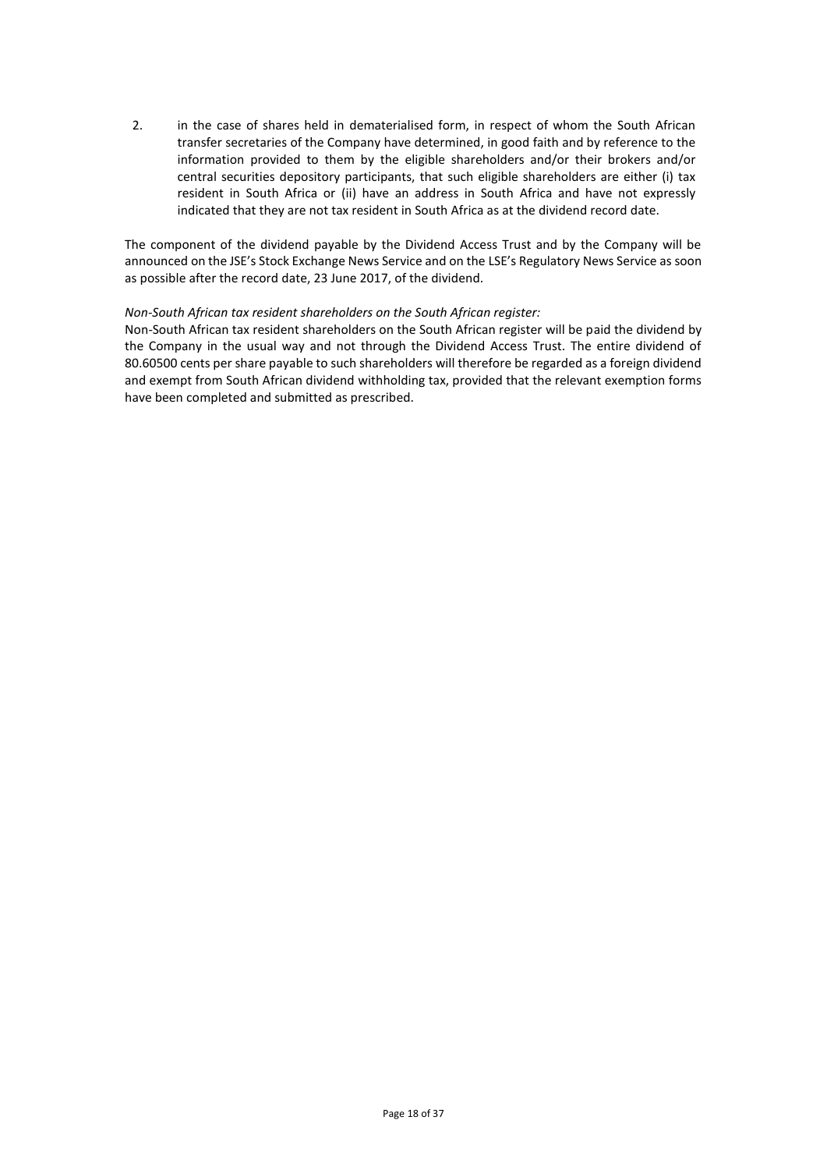2. in the case of shares held in dematerialised form, in respect of whom the South African transfer secretaries of the Company have determined, in good faith and by reference to the information provided to them by the eligible shareholders and/or their brokers and/or central securities depository participants, that such eligible shareholders are either (i) tax resident in South Africa or (ii) have an address in South Africa and have not expressly indicated that they are not tax resident in South Africa as at the dividend record date.

The component of the dividend payable by the Dividend Access Trust and by the Company will be announced on the JSE's Stock Exchange News Service and on the LSE's Regulatory News Service as soon as possible after the record date, 23 June 2017, of the dividend.

## *Non-South African tax resident shareholders on the South African register:*

Non-South African tax resident shareholders on the South African register will be paid the dividend by the Company in the usual way and not through the Dividend Access Trust. The entire dividend of 80.60500 cents per share payable to such shareholders will therefore be regarded as a foreign dividend and exempt from South African dividend withholding tax, provided that the relevant exemption forms have been completed and submitted as prescribed.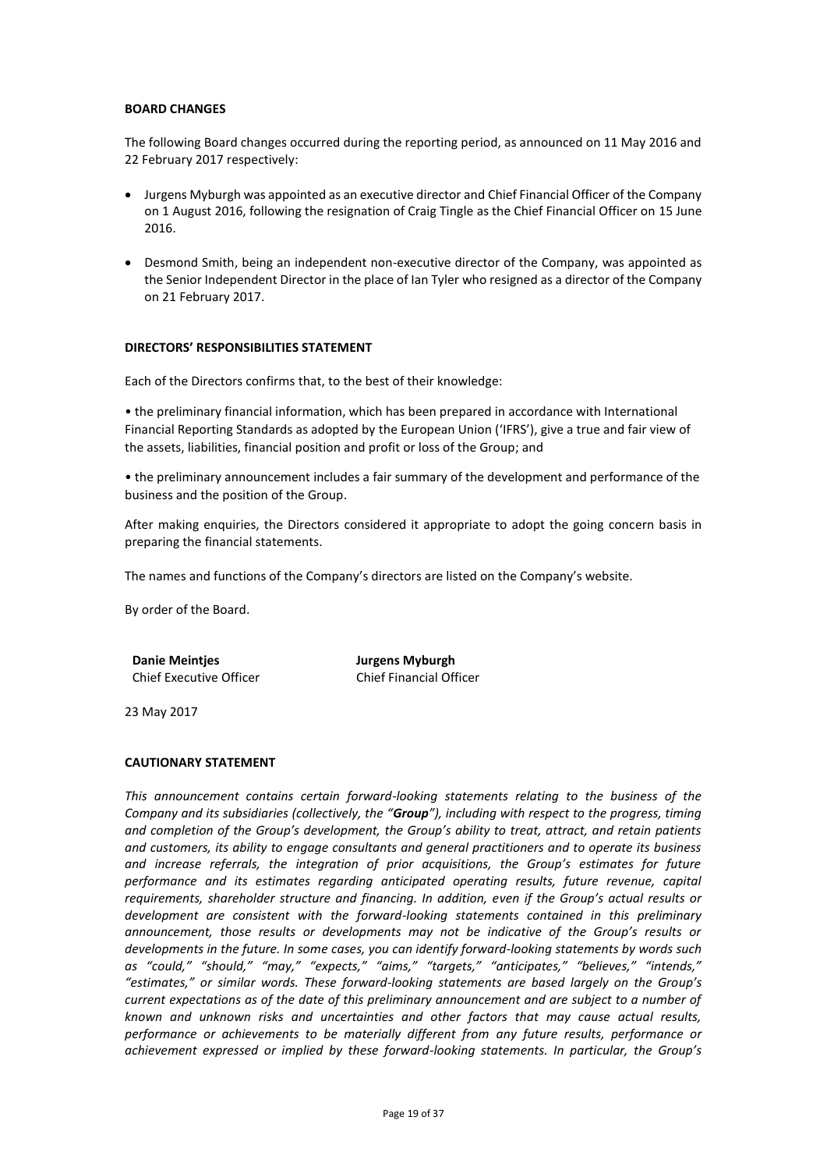### **BOARD CHANGES**

The following Board changes occurred during the reporting period, as announced on 11 May 2016 and 22 February 2017 respectively:

- Jurgens Myburgh was appointed as an executive director and Chief Financial Officer of the Company on 1 August 2016, following the resignation of Craig Tingle as the Chief Financial Officer on 15 June 2016.
- Desmond Smith, being an independent non-executive director of the Company, was appointed as the Senior Independent Director in the place of Ian Tyler who resigned as a director of the Company on 21 February 2017.

### **DIRECTORS' RESPONSIBILITIES STATEMENT**

Each of the Directors confirms that, to the best of their knowledge:

• the preliminary financial information, which has been prepared in accordance with International Financial Reporting Standards as adopted by the European Union ('IFRS'), give a true and fair view of the assets, liabilities, financial position and profit or loss of the Group; and

• the preliminary announcement includes a fair summary of the development and performance of the business and the position of the Group.

After making enquiries, the Directors considered it appropriate to adopt the going concern basis in preparing the financial statements.

The names and functions of the Company's directors are listed on the Company's website.

By order of the Board.

**Danie Meintjes Municipality descriptions of the United States Danie Myburgh** Chief Executive Officer Chief Financial Officer

23 May 2017

### **CAUTIONARY STATEMENT**

*This announcement contains certain forward-looking statements relating to the business of the Company and its subsidiaries (collectively, the "Group"), including with respect to the progress, timing and completion of the Group's development, the Group's ability to treat, attract, and retain patients and customers, its ability to engage consultants and general practitioners and to operate its business and increase referrals, the integration of prior acquisitions, the Group's estimates for future performance and its estimates regarding anticipated operating results, future revenue, capital requirements, shareholder structure and financing. In addition, even if the Group's actual results or development are consistent with the forward-looking statements contained in this preliminary announcement, those results or developments may not be indicative of the Group's results or developments in the future. In some cases, you can identify forward-looking statements by words such as "could," "should," "may," "expects," "aims," "targets," "anticipates," "believes," "intends," "estimates," or similar words. These forward-looking statements are based largely on the Group's current expectations as of the date of this preliminary announcement and are subject to a number of known and unknown risks and uncertainties and other factors that may cause actual results, performance or achievements to be materially different from any future results, performance or achievement expressed or implied by these forward-looking statements. In particular, the Group's*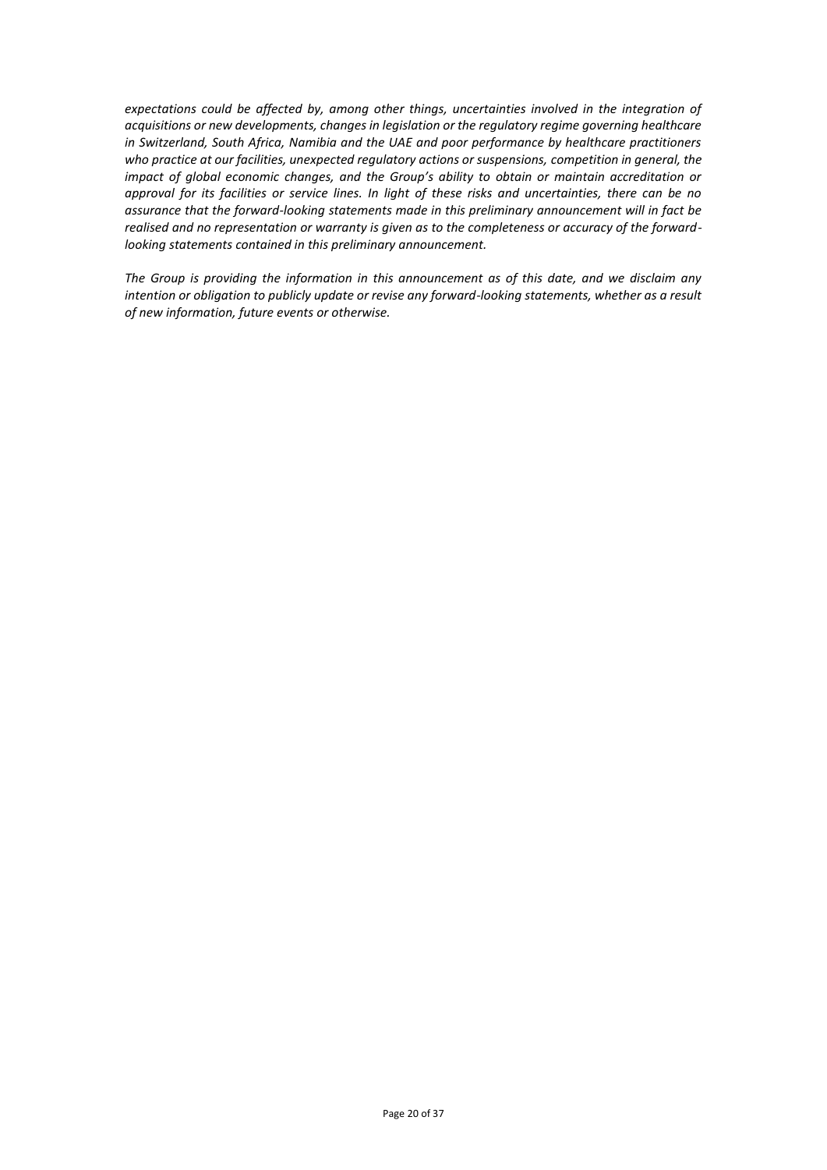*expectations could be affected by, among other things, uncertainties involved in the integration of acquisitions or new developments, changes in legislation or the regulatory regime governing healthcare in Switzerland, South Africa, Namibia and the UAE and poor performance by healthcare practitioners who practice at our facilities, unexpected regulatory actions or suspensions, competition in general, the impact of global economic changes, and the Group's ability to obtain or maintain accreditation or approval for its facilities or service lines. In light of these risks and uncertainties, there can be no assurance that the forward-looking statements made in this preliminary announcement will in fact be realised and no representation or warranty is given as to the completeness or accuracy of the forwardlooking statements contained in this preliminary announcement.*

*The Group is providing the information in this announcement as of this date, and we disclaim any intention or obligation to publicly update or revise any forward-looking statements, whether as a result of new information, future events or otherwise.*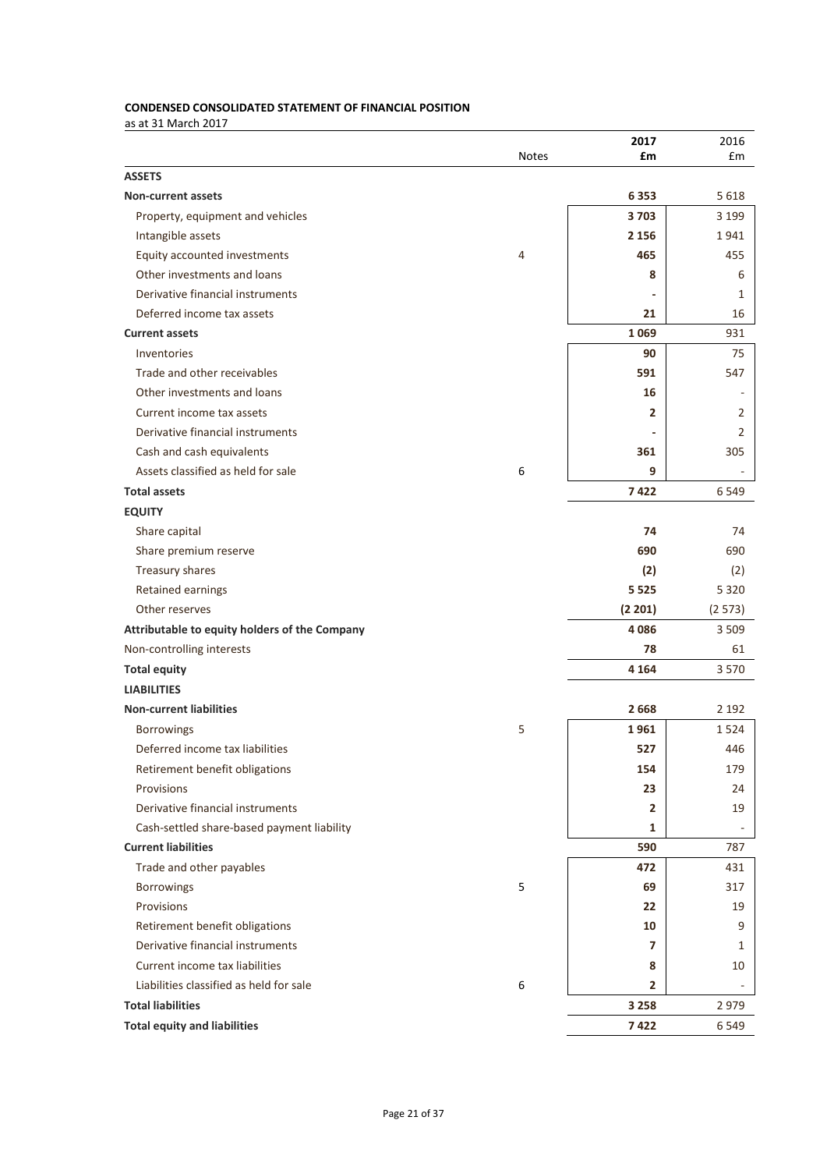# **CONDENSED CONSOLIDATED STATEMENT OF FINANCIAL POSITION**

as at 31 March 2017

|                                               |              | 2017           | 2016           |
|-----------------------------------------------|--------------|----------------|----------------|
|                                               | <b>Notes</b> | £m             | £m             |
| <b>ASSETS</b>                                 |              |                |                |
| <b>Non-current assets</b>                     |              | 6353           | 5618           |
| Property, equipment and vehicles              |              | 3703           | 3 1 9 9        |
| Intangible assets                             |              | 2 1 5 6        | 1941           |
| Equity accounted investments                  | 4            | 465            | 455            |
| Other investments and loans                   |              | 8              | 6              |
| Derivative financial instruments              |              |                | 1              |
| Deferred income tax assets                    |              | 21             | 16             |
| <b>Current assets</b>                         |              | 1069           | 931            |
| Inventories                                   |              | 90             | 75             |
| Trade and other receivables                   |              | 591            | 547            |
| Other investments and loans                   |              | 16             |                |
| Current income tax assets                     |              | 2              | 2              |
| Derivative financial instruments              |              |                | $\overline{2}$ |
| Cash and cash equivalents                     |              | 361            | 305            |
| Assets classified as held for sale            | 6            | 9              |                |
| <b>Total assets</b>                           |              | 7422           | 6549           |
| <b>EQUITY</b>                                 |              |                |                |
| Share capital                                 |              | 74             | 74             |
| Share premium reserve                         |              | 690            | 690            |
| Treasury shares                               |              | (2)            | (2)            |
| Retained earnings                             |              | 5 5 2 5        | 5 3 2 0        |
| Other reserves                                |              | (2 201)        | (2573)         |
| Attributable to equity holders of the Company |              | 4086           | 3509           |
| Non-controlling interests                     |              | 78             | 61             |
| <b>Total equity</b>                           |              | 4 1 6 4        | 3570           |
| <b>LIABILITIES</b>                            |              |                |                |
| <b>Non-current liabilities</b>                |              | 2668           | 2 1 9 2        |
| Borrowings                                    | 5            | 1961           | 1524           |
| Deferred income tax liabilities               |              | 527            | 446            |
| Retirement benefit obligations                |              | 154            | 179            |
| Provisions                                    |              | 23             | 24             |
| Derivative financial instruments              |              | $\overline{2}$ | 19             |
| Cash-settled share-based payment liability    |              | 1              |                |
| <b>Current liabilities</b>                    |              | 590            | 787            |
| Trade and other payables                      |              | 472            | 431            |
| <b>Borrowings</b>                             | 5            | 69             | 317            |
| Provisions                                    |              | 22             | 19             |
| Retirement benefit obligations                |              | 10             | 9              |
| Derivative financial instruments              |              | 7              | 1              |
| Current income tax liabilities                |              | 8              | 10             |
| Liabilities classified as held for sale       | 6            | $\overline{2}$ |                |
| <b>Total liabilities</b>                      |              | 3 2 5 8        | 2979           |
| <b>Total equity and liabilities</b>           |              | 7422           | 6549           |
|                                               |              |                |                |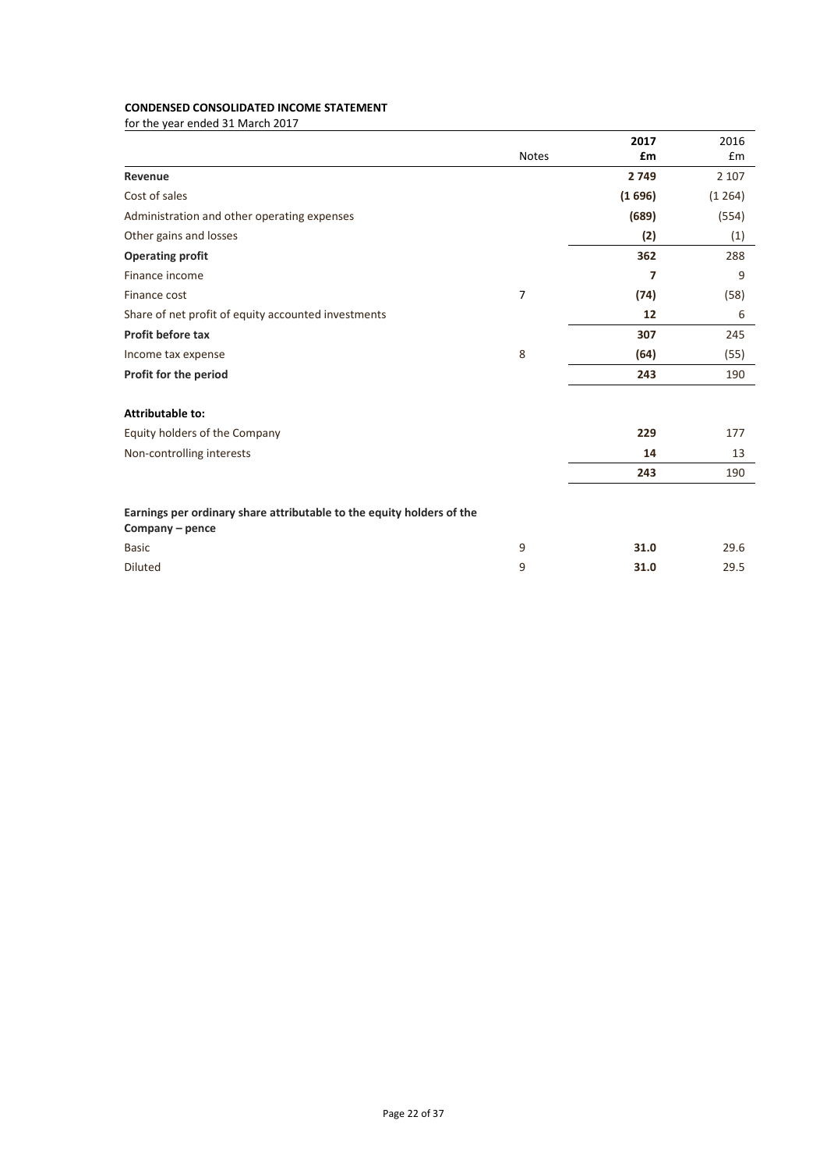# **CONDENSED CONSOLIDATED INCOME STATEMENT**

|                                                                                          |              | 2017   | 2016    |
|------------------------------------------------------------------------------------------|--------------|--------|---------|
|                                                                                          | <b>Notes</b> | £m     | £m      |
| Revenue                                                                                  |              | 2749   | 2 1 0 7 |
| Cost of sales                                                                            |              | (1696) | (1264)  |
| Administration and other operating expenses                                              |              | (689)  | (554)   |
| Other gains and losses                                                                   |              | (2)    | (1)     |
| <b>Operating profit</b>                                                                  |              | 362    | 288     |
| Finance income                                                                           |              | 7      | 9       |
| Finance cost                                                                             | 7            | (74)   | (58)    |
| Share of net profit of equity accounted investments                                      |              | 12     | 6       |
| Profit before tax                                                                        |              | 307    | 245     |
| Income tax expense                                                                       | 8            | (64)   | (55)    |
| Profit for the period                                                                    |              | 243    | 190     |
| <b>Attributable to:</b>                                                                  |              |        |         |
| Equity holders of the Company                                                            |              | 229    | 177     |
| Non-controlling interests                                                                |              | 14     | 13      |
|                                                                                          |              | 243    | 190     |
| Earnings per ordinary share attributable to the equity holders of the<br>Company - pence |              |        |         |
| <b>Basic</b>                                                                             | 9            | 31.0   | 29.6    |
| <b>Diluted</b>                                                                           | 9            | 31.0   | 29.5    |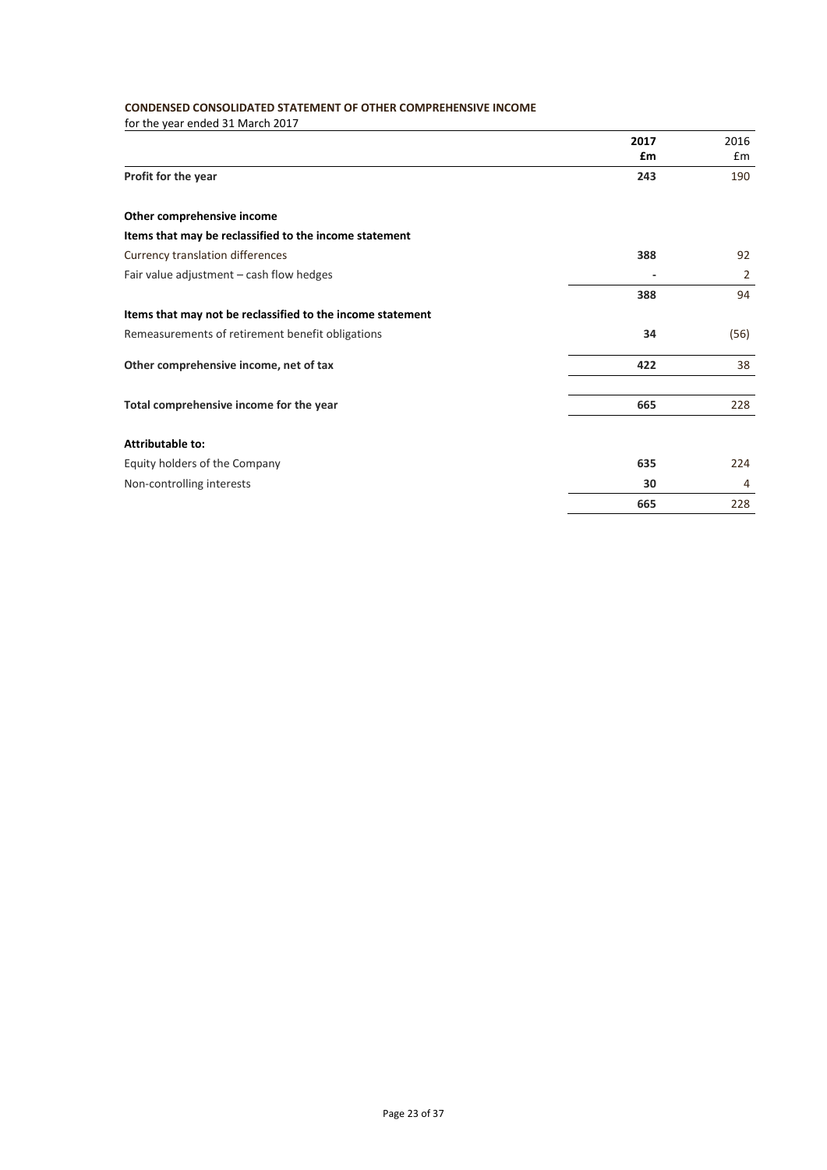# **CONDENSED CONSOLIDATED STATEMENT OF OTHER COMPREHENSIVE INCOME**

|                                                            | 2017<br>£m | 2016<br>Em |
|------------------------------------------------------------|------------|------------|
| Profit for the year                                        | 243        | 190        |
| Other comprehensive income                                 |            |            |
| Items that may be reclassified to the income statement     |            |            |
| Currency translation differences                           | 388        | 92         |
| Fair value adjustment - cash flow hedges                   |            | 2          |
|                                                            | 388        | 94         |
| Items that may not be reclassified to the income statement |            |            |
| Remeasurements of retirement benefit obligations           | 34         | (56)       |
| Other comprehensive income, net of tax                     | 422        | 38         |
|                                                            |            |            |
| Total comprehensive income for the year                    | 665        | 228        |
| <b>Attributable to:</b>                                    |            |            |
| Equity holders of the Company                              | 635        | 224        |
| Non-controlling interests                                  | 30         | 4          |
|                                                            | 665        | 228        |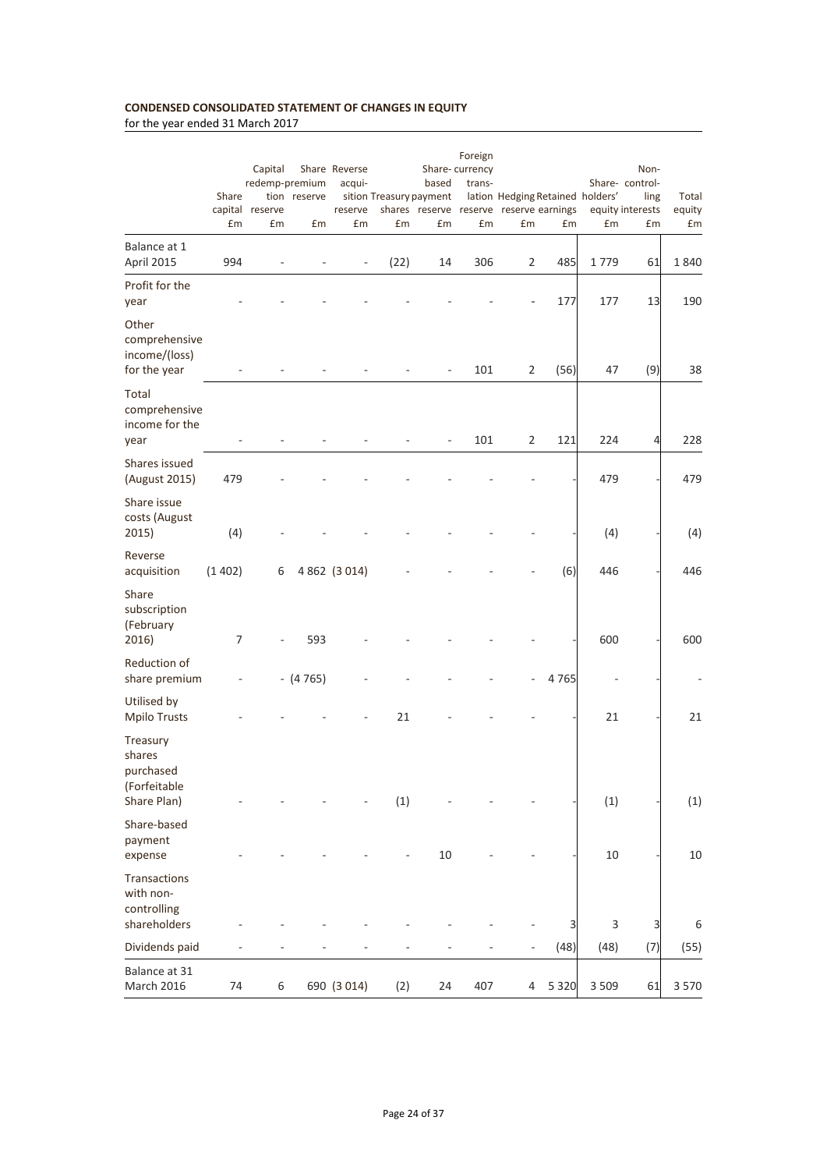# **CONDENSED CONSOLIDATED STATEMENT OF CHANGES IN EQUITY**

|                                                                | Share<br>£m | Capital<br>redemp-premium<br>capital reserve<br>£m | tion reserve<br>£m | Share Reverse<br>acqui-<br>reserve<br>£m | sition Treasury payment<br>£m | based<br>£m | Foreign<br>Share-currency<br>trans-<br>£m | lation Hedging Retained holders'<br>shares reserve reserve reserve earnings<br>£m | £m      | £m      | Non-<br>Share-control-<br>ling<br>equity interests<br>£m | Total<br>equity<br>£m |
|----------------------------------------------------------------|-------------|----------------------------------------------------|--------------------|------------------------------------------|-------------------------------|-------------|-------------------------------------------|-----------------------------------------------------------------------------------|---------|---------|----------------------------------------------------------|-----------------------|
| Balance at 1                                                   |             |                                                    |                    |                                          |                               |             |                                           |                                                                                   |         |         |                                                          |                       |
| April 2015                                                     | 994         |                                                    |                    | $\overline{a}$                           | (22)                          | 14          | 306                                       | 2                                                                                 | 485     | 1779    | 61                                                       | 1840                  |
| Profit for the<br>year                                         |             |                                                    |                    |                                          |                               |             |                                           |                                                                                   | 177     | 177     | 13                                                       | 190                   |
| Other<br>comprehensive<br>income/(loss)<br>for the year        |             |                                                    |                    |                                          |                               |             | 101                                       | 2                                                                                 | (56)    | 47      | (9)                                                      | 38                    |
| Total<br>comprehensive<br>income for the<br>year               |             |                                                    |                    |                                          |                               |             | 101                                       | 2                                                                                 | 121     | 224     | 4                                                        | 228                   |
| Shares issued<br>(August 2015)                                 | 479         |                                                    |                    |                                          |                               |             |                                           |                                                                                   |         | 479     |                                                          | 479                   |
| Share issue<br>costs (August<br>2015)                          | (4)         |                                                    |                    |                                          |                               |             |                                           |                                                                                   |         | (4)     |                                                          | (4)                   |
| Reverse<br>acquisition                                         | (1402)      | 6                                                  |                    | 4 862 (3 014)                            |                               |             |                                           |                                                                                   | (6)     | 446     |                                                          | 446                   |
| Share<br>subscription<br>(February<br>2016)                    | 7           |                                                    | 593                |                                          |                               |             |                                           |                                                                                   |         | 600     |                                                          | 600                   |
| Reduction of<br>share premium                                  |             |                                                    | $-$ (4 765)        |                                          |                               |             |                                           |                                                                                   | 4765    |         |                                                          |                       |
| Utilised by<br><b>Mpilo Trusts</b>                             |             |                                                    |                    |                                          | 21                            |             |                                           |                                                                                   |         | 21      |                                                          | 21                    |
| Treasury<br>shares<br>purchased<br>(Forfeitable<br>Share Plan) |             |                                                    |                    |                                          | (1)                           |             |                                           |                                                                                   |         | (1)     |                                                          | (1)                   |
| Share-based<br>payment<br>expense                              |             |                                                    |                    |                                          |                               | 10          |                                           |                                                                                   |         | 10      |                                                          | 10                    |
| Transactions<br>with non-<br>controlling                       |             |                                                    |                    |                                          |                               |             |                                           |                                                                                   |         |         |                                                          |                       |
| shareholders                                                   |             |                                                    |                    |                                          |                               |             |                                           |                                                                                   | 3       | 3       | 3                                                        | 6                     |
| Dividends paid                                                 |             |                                                    |                    |                                          |                               |             |                                           | ÷,                                                                                | (48)    | (48)    | (7)                                                      | (55)                  |
| Balance at 31<br>March 2016                                    | 74          | 6                                                  |                    | 690 (3 014)                              | (2)                           | 24          | 407                                       | 4                                                                                 | 5 3 2 0 | 3 5 0 9 | 61                                                       | 3570                  |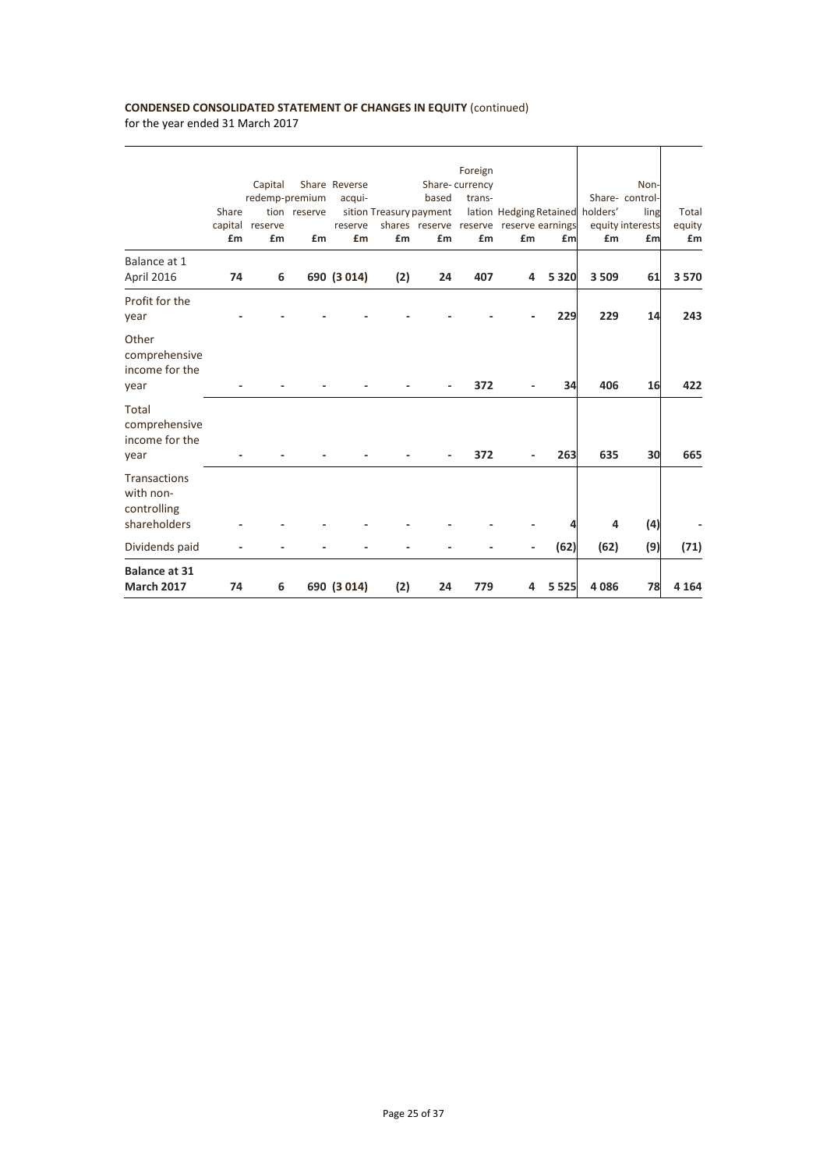# **CONDENSED CONSOLIDATED STATEMENT OF CHANGES IN EQUITY** (continued)

| <b>Balance at 31</b><br><b>March 2017</b>                       | 74          | 6                                                  |                    | 690 (3 014)                              | (2)                           | 24          | 779                                       | 4                                                                                 | 5 5 2 5 | 4086    | 78                                                       | 4 1 6 4               |
|-----------------------------------------------------------------|-------------|----------------------------------------------------|--------------------|------------------------------------------|-------------------------------|-------------|-------------------------------------------|-----------------------------------------------------------------------------------|---------|---------|----------------------------------------------------------|-----------------------|
| Dividends paid                                                  |             |                                                    |                    |                                          |                               |             |                                           |                                                                                   | (62)    | (62)    | (9)                                                      | (71)                  |
| <b>Transactions</b><br>with non-<br>controlling<br>shareholders |             |                                                    |                    |                                          |                               |             |                                           |                                                                                   |         | 4       | (4)                                                      |                       |
| Total<br>comprehensive<br>income for the<br>year                |             |                                                    |                    |                                          |                               |             | 372                                       |                                                                                   | 263     | 635     | 30                                                       | 665                   |
| Other<br>comprehensive<br>income for the<br>year                |             |                                                    |                    |                                          |                               |             | 372                                       |                                                                                   | 34      | 406     | 16                                                       | 422                   |
| Profit for the<br>year                                          |             |                                                    |                    |                                          |                               |             |                                           |                                                                                   | 229     | 229     | 14                                                       | 243                   |
| Balance at 1<br>April 2016                                      | 74          | 6                                                  |                    | 690 (3 014)                              | (2)                           | 24          | 407                                       | 4                                                                                 | 5 3 2 0 | 3 5 0 9 | 61                                                       | 3570                  |
|                                                                 | Share<br>£m | Capital<br>redemp-premium<br>capital reserve<br>£m | tion reserve<br>£m | Share Reverse<br>acqui-<br>reserve<br>£m | sition Treasury payment<br>£m | based<br>£m | Foreign<br>Share-currency<br>trans-<br>£m | lation Hedging Retained holders'<br>shares reserve reserve reserve earnings<br>£m | £m      | £m      | Non-<br>Share-control-<br>ling<br>equity interests<br>£m | Total<br>equity<br>£m |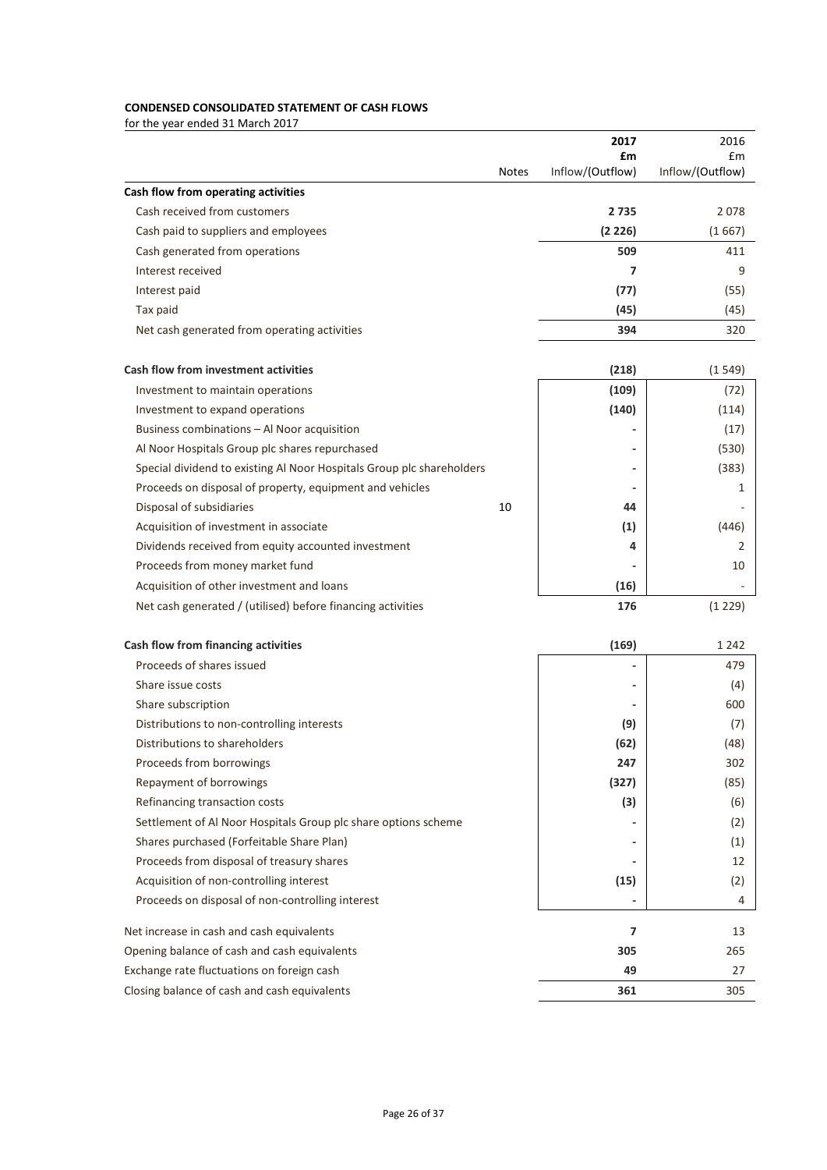# **CONDENSED CONSOLIDATED STATEMENT OF CASH FLOWS**

|                                                                       |              | 2017             | 2016             |
|-----------------------------------------------------------------------|--------------|------------------|------------------|
|                                                                       |              | £m               | £m               |
|                                                                       | <b>Notes</b> | Inflow/(Outflow) | Inflow/(Outflow) |
| Cash flow from operating activities                                   |              |                  |                  |
| Cash received from customers                                          |              | 2735             | 2078             |
| Cash paid to suppliers and employees                                  |              | (2 226)          | (1667)           |
| Cash generated from operations                                        |              | 509              | 411              |
| Interest received                                                     |              | 7                | 9                |
| Interest paid                                                         |              | (77)             | (55)             |
| Tax paid                                                              |              | (45)             | (45)             |
| Net cash generated from operating activities                          |              | 394              | 320              |
| <b>Cash flow from investment activities</b>                           |              | (218)            | (1549)           |
| Investment to maintain operations                                     |              | (109)            | (72)             |
| Investment to expand operations                                       |              | (140)            | (114)            |
| Business combinations - Al Noor acquisition                           |              |                  | (17)             |
| Al Noor Hospitals Group plc shares repurchased                        |              |                  | (530)            |
| Special dividend to existing Al Noor Hospitals Group plc shareholders |              |                  | (383)            |
| Proceeds on disposal of property, equipment and vehicles              |              |                  | 1                |
| Disposal of subsidiaries                                              | 10           | 44               |                  |
| Acquisition of investment in associate                                |              | (1)              | (446)            |
| Dividends received from equity accounted investment                   |              | 4                | 2                |
| Proceeds from money market fund                                       |              |                  | 10               |
| Acquisition of other investment and loans                             |              | (16)             |                  |
| Net cash generated / (utilised) before financing activities           |              | 176              | (1 229)          |
| Cash flow from financing activities                                   |              |                  | 1 2 4 2          |
|                                                                       |              | (169)            |                  |
| Proceeds of shares issued                                             |              | $\blacksquare$   | 479              |
| Share issue costs                                                     |              |                  | (4)              |
| Share subscription                                                    |              |                  | 600              |
| Distributions to non-controlling interests                            |              | (9)              | (7)              |
| Distributions to shareholders                                         |              | (62)             | (48)             |
| Proceeds from borrowings                                              |              | 247              | 302              |
| Repayment of borrowings                                               |              | (327)            | (85)             |
| Refinancing transaction costs                                         |              | (3)              | (6)              |
| Settlement of Al Noor Hospitals Group plc share options scheme        |              |                  | (2)              |
| Shares purchased (Forfeitable Share Plan)                             |              |                  | (1)              |
| Proceeds from disposal of treasury shares                             |              |                  | 12               |
| Acquisition of non-controlling interest                               |              | (15)             | (2)              |
| Proceeds on disposal of non-controlling interest                      |              |                  | 4                |
| Net increase in cash and cash equivalents                             |              | 7                | 13               |
| Opening balance of cash and cash equivalents                          |              | 305              | 265              |
| Exchange rate fluctuations on foreign cash                            |              | 49               | 27               |
| Closing balance of cash and cash equivalents                          |              | 361              | 305              |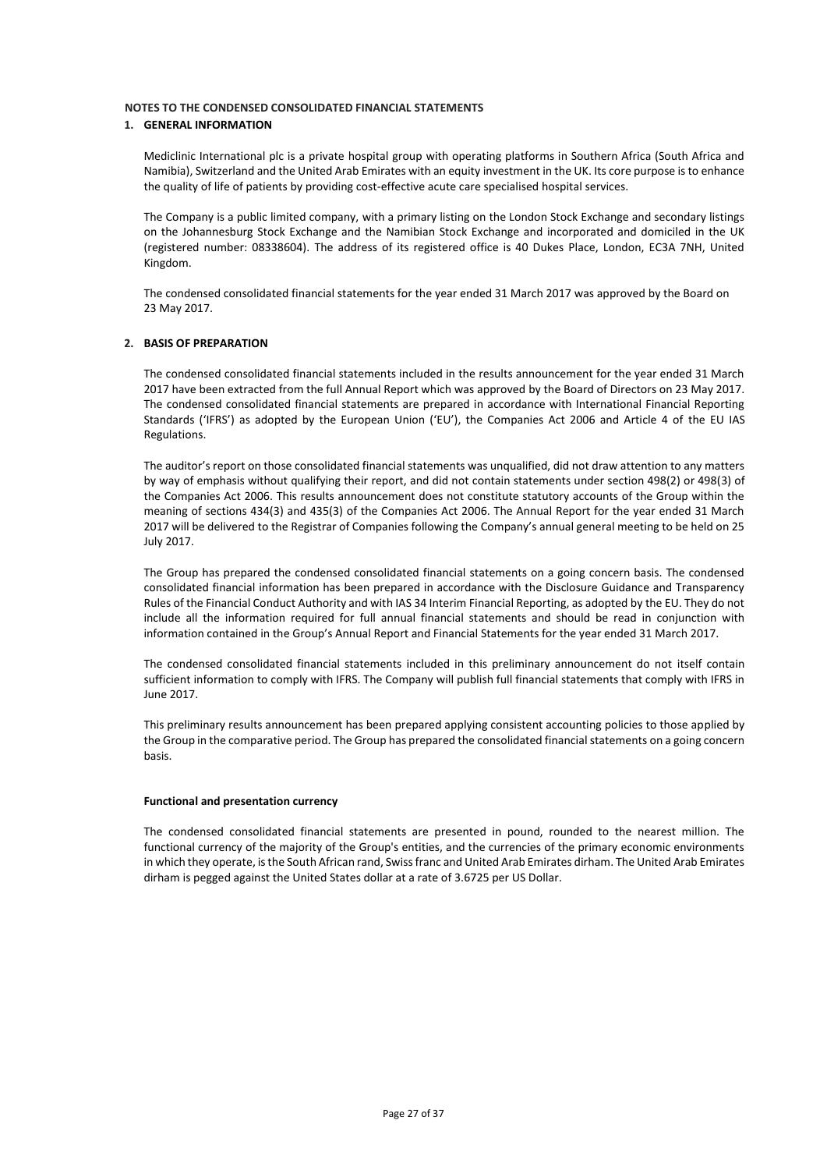### **1. GENERAL INFORMATION**

Mediclinic International plc is a private hospital group with operating platforms in Southern Africa (South Africa and Namibia), Switzerland and the United Arab Emirates with an equity investment in the UK. Its core purpose is to enhance the quality of life of patients by providing cost-effective acute care specialised hospital services.

The Company is a public limited company, with a primary listing on the London Stock Exchange and secondary listings on the Johannesburg Stock Exchange and the Namibian Stock Exchange and incorporated and domiciled in the UK (registered number: 08338604). The address of its registered office is 40 Dukes Place, London, EC3A 7NH, United Kingdom.

The condensed consolidated financial statements for the year ended 31 March 2017 was approved by the Board on 23 May 2017.

### **2. BASIS OF PREPARATION**

The condensed consolidated financial statements included in the results announcement for the year ended 31 March 2017 have been extracted from the full Annual Report which was approved by the Board of Directors on 23 May 2017. The condensed consolidated financial statements are prepared in accordance with International Financial Reporting Standards ('IFRS') as adopted by the European Union ('EU'), the Companies Act 2006 and Article 4 of the EU IAS Regulations.

The auditor's report on those consolidated financial statements was unqualified, did not draw attention to any matters by way of emphasis without qualifying their report, and did not contain statements under section 498(2) or 498(3) of the Companies Act 2006. This results announcement does not constitute statutory accounts of the Group within the meaning of sections 434(3) and 435(3) of the Companies Act 2006. The Annual Report for the year ended 31 March 2017 will be delivered to the Registrar of Companies following the Company's annual general meeting to be held on 25 July 2017.

The Group has prepared the condensed consolidated financial statements on a going concern basis. The condensed consolidated financial information has been prepared in accordance with the Disclosure Guidance and Transparency Rules of the Financial Conduct Authority and with IAS 34 Interim Financial Reporting, as adopted by the EU. They do not include all the information required for full annual financial statements and should be read in conjunction with information contained in the Group's Annual Report and Financial Statements for the year ended 31 March 2017.

The condensed consolidated financial statements included in this preliminary announcement do not itself contain sufficient information to comply with IFRS. The Company will publish full financial statements that comply with IFRS in June 2017.

This preliminary results announcement has been prepared applying consistent accounting policies to those applied by the Group in the comparative period. The Group has prepared the consolidated financial statements on a going concern basis.

#### **Functional and presentation currency**

The condensed consolidated financial statements are presented in pound, rounded to the nearest million. The functional currency of the majority of the Group's entities, and the currencies of the primary economic environments in which they operate, is the South African rand, Swiss franc and United Arab Emirates dirham. The United Arab Emirates dirham is pegged against the United States dollar at a rate of 3.6725 per US Dollar.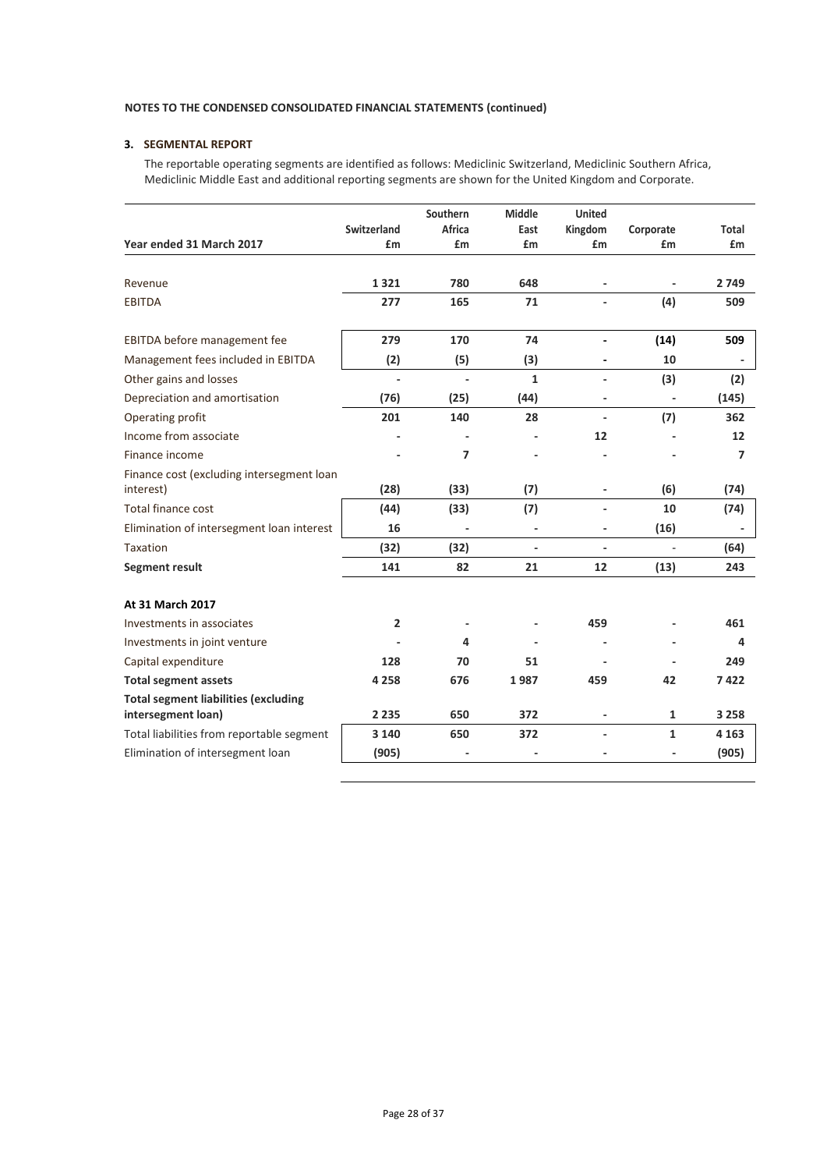# **3. SEGMENTAL REPORT**

The reportable operating segments are identified as follows: Mediclinic Switzerland, Mediclinic Southern Africa, Mediclinic Middle East and additional reporting segments are shown for the United Kingdom and Corporate.

|                                             |             | Southern       | <b>Middle</b> | <b>United</b>  |                          |         |
|---------------------------------------------|-------------|----------------|---------------|----------------|--------------------------|---------|
|                                             | Switzerland | Africa         | East          | Kingdom        | Corporate                | Total   |
| Year ended 31 March 2017                    | £m          | £m             | £m            | £m             | £m                       | £m      |
|                                             |             |                |               |                |                          |         |
| Revenue                                     | 1321        | 780            | 648           |                | $\overline{\phantom{a}}$ | 2749    |
| <b>EBITDA</b>                               | 277         | 165            | 71            |                | (4)                      | 509     |
|                                             |             |                |               |                |                          |         |
| EBITDA before management fee                | 279         | 170            | 74            |                | (14)                     | 509     |
| Management fees included in EBITDA          | (2)         | (5)            | (3)           |                | 10                       |         |
| Other gains and losses                      | ä,          | $\blacksquare$ | 1             | $\overline{a}$ | (3)                      | (2)     |
| Depreciation and amortisation               | (76)        | (25)           | (44)          | $\overline{a}$ |                          | (145)   |
| Operating profit                            | 201         | 140            | 28            | $\overline{a}$ | (7)                      | 362     |
| Income from associate                       |             |                |               | 12             |                          | 12      |
| Finance income                              |             | $\overline{7}$ |               |                |                          | 7       |
| Finance cost (excluding intersegment loan   |             |                |               |                |                          |         |
| interest)                                   | (28)        | (33)           | (7)           |                | (6)                      | (74)    |
| <b>Total finance cost</b>                   | (44)        | (33)           | (7)           | $\overline{a}$ | 10                       | (74)    |
| Elimination of intersegment loan interest   | 16          |                |               | -              | (16)                     |         |
| Taxation                                    | (32)        | (32)           |               | $\overline{a}$ | $\overline{a}$           | (64)    |
| Segment result                              | 141         | 82             | 21            | 12             | (13)                     | 243     |
|                                             |             |                |               |                |                          |         |
| At 31 March 2017                            |             |                |               |                |                          |         |
| Investments in associates                   | 2           |                |               | 459            |                          | 461     |
| Investments in joint venture                |             | 4              |               |                |                          | 4       |
| Capital expenditure                         | 128         | 70             | 51            |                |                          | 249     |
| <b>Total segment assets</b>                 | 4 2 5 8     | 676            | 1987          | 459            | 42                       | 7422    |
| <b>Total segment liabilities (excluding</b> |             |                |               |                |                          |         |
| intersegment loan)                          | 2 2 3 5     | 650            | 372           | -              | $\mathbf{1}$             | 3 2 5 8 |
| Total liabilities from reportable segment   | 3 1 4 0     | 650            | 372           | $\overline{a}$ | $\mathbf{1}$             | 4 1 6 3 |
| Elimination of intersegment loan            | (905)       |                |               |                |                          | (905)   |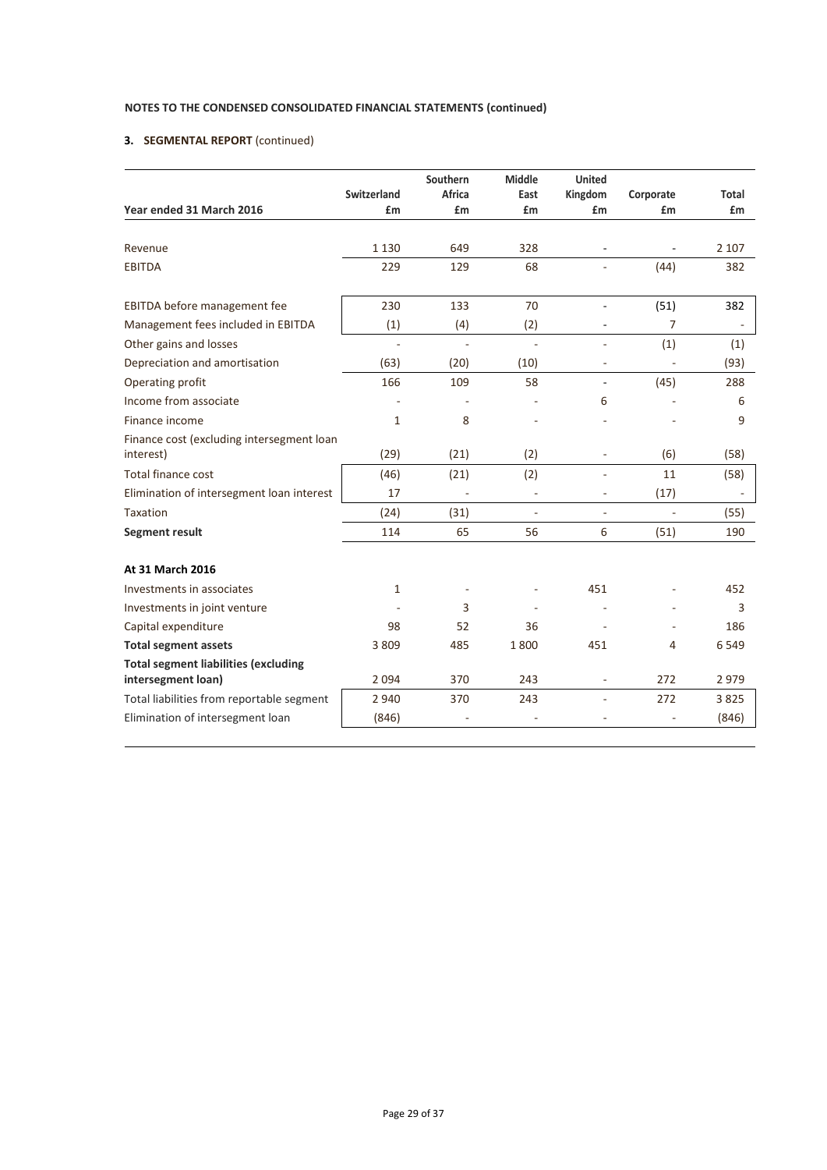# **3. SEGMENTAL REPORT** (continued)

|                                                        | <b>Switzerland</b> | Southern<br>Africa | Middle<br>East | <b>United</b><br>Kingdom | Corporate     | Total   |
|--------------------------------------------------------|--------------------|--------------------|----------------|--------------------------|---------------|---------|
| Year ended 31 March 2016                               | £m                 | £m                 | £m             | £m                       | £m            | £m      |
|                                                        |                    |                    |                |                          |               |         |
| Revenue                                                | 1 1 3 0            | 649                | 328            |                          |               | 2 1 0 7 |
| <b>EBITDA</b>                                          | 229                | 129                | 68             |                          | (44)          | 382     |
| EBITDA before management fee                           | 230                | 133                | 70             | ä,                       | (51)          | 382     |
| Management fees included in EBITDA                     | (1)                | (4)                | (2)            |                          | 7             |         |
| Other gains and losses                                 | ä,                 | $\sim$             | ä,             | $\overline{\phantom{a}}$ | (1)           | (1)     |
| Depreciation and amortisation                          | (63)               | (20)               | (10)           |                          | ÷,            | (93)    |
| Operating profit                                       | 166                | 109                | 58             | $\overline{\phantom{a}}$ | (45)          | 288     |
| Income from associate                                  |                    |                    |                | 6                        |               | 6       |
| Finance income                                         | 1                  | 8                  |                |                          |               | 9       |
| Finance cost (excluding intersegment loan<br>interest) | (29)               | (21)               | (2)            | $\overline{\phantom{a}}$ | (6)           | (58)    |
| Total finance cost                                     | (46)               | (21)               | (2)            | ä,                       | 11            | (58)    |
| Elimination of intersegment loan interest              | 17                 | L,                 | L.             | ä,                       | (17)          |         |
| Taxation                                               | (24)               | (31)               | ä,             | $\overline{\phantom{a}}$ | $\frac{1}{2}$ | (55)    |
| <b>Segment result</b>                                  | 114                | 65                 | 56             | 6                        | (51)          | 190     |
| At 31 March 2016                                       |                    |                    |                |                          |               |         |
| Investments in associates                              | 1                  |                    |                | 451                      |               | 452     |
| Investments in joint venture                           |                    | 3                  |                |                          |               | 3       |
| Capital expenditure                                    | 98                 | 52                 | 36             |                          | ä,            | 186     |
| <b>Total segment assets</b>                            | 3809               | 485                | 1800           | 451                      | 4             | 6549    |
| <b>Total segment liabilities (excluding</b>            |                    |                    |                |                          |               |         |
| intersegment loan)                                     | 2 0 9 4            | 370                | 243            |                          | 272           | 2979    |
| Total liabilities from reportable segment              | 2 9 4 0            | 370                | 243            | $\overline{\phantom{a}}$ | 272           | 3825    |
| Elimination of intersegment loan                       | (846)              |                    |                |                          |               | (846)   |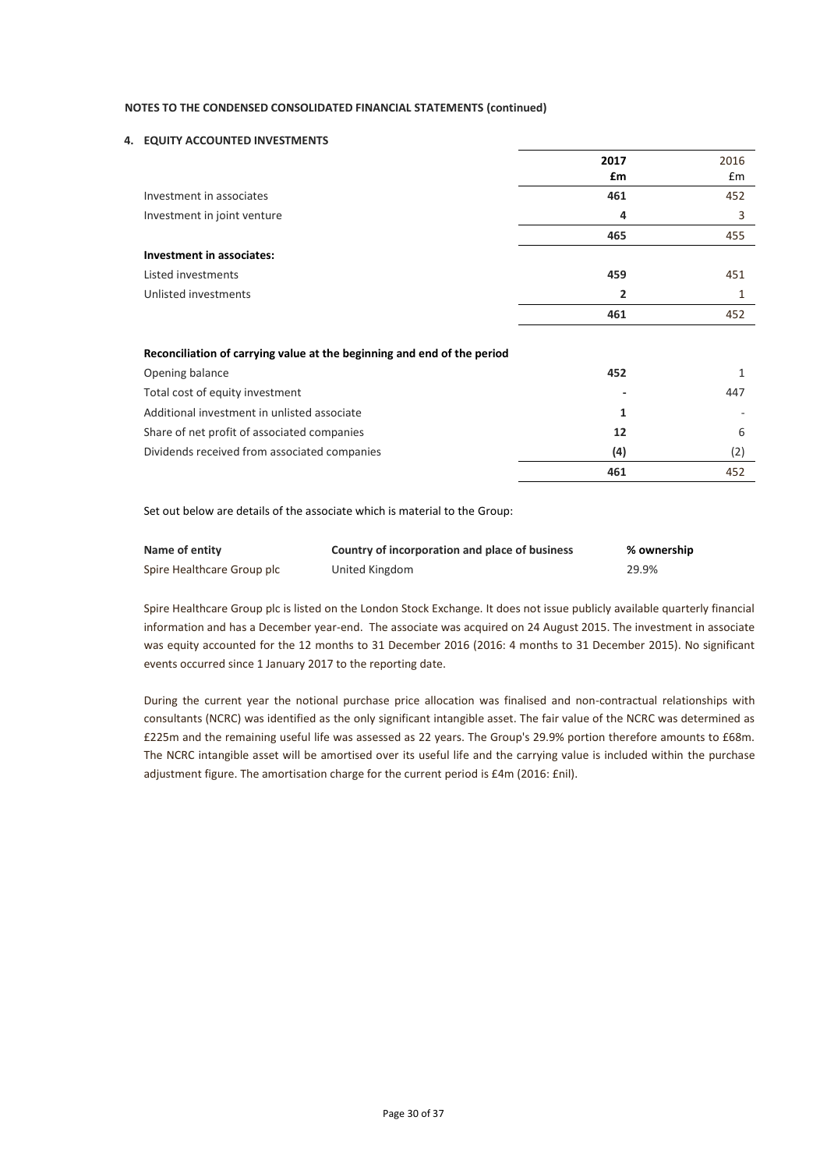### **4. EQUITY ACCOUNTED INVESTMENTS**

|                                  | 2017           | 2016          |
|----------------------------------|----------------|---------------|
|                                  | £m             | $\mathsf{fm}$ |
| Investment in associates         | 461            | 452           |
| Investment in joint venture      | 4              | 3             |
|                                  | 465            | 455           |
| <b>Investment in associates:</b> |                |               |
| Listed investments               | 459            | 451           |
| Unlisted investments             | $\overline{2}$ | 1             |
|                                  | 461            | 452           |

#### **Reconciliation of carrying value at the beginning and end of the period**

| 452                      |     |
|--------------------------|-----|
| $\overline{\phantom{a}}$ | 447 |
|                          |     |
| 12                       |     |
| (4)                      | (2) |
| 461                      | 452 |
|                          |     |

Set out below are details of the associate which is material to the Group:

| Name of entity             | Country of incorporation and place of business | % ownership |
|----------------------------|------------------------------------------------|-------------|
| Spire Healthcare Group plc | United Kingdom                                 | 29.9%       |

Spire Healthcare Group plc is listed on the London Stock Exchange. It does not issue publicly available quarterly financial information and has a December year-end. The associate was acquired on 24 August 2015. The investment in associate was equity accounted for the 12 months to 31 December 2016 (2016: 4 months to 31 December 2015). No significant events occurred since 1 January 2017 to the reporting date.

During the current year the notional purchase price allocation was finalised and non-contractual relationships with consultants (NCRC) was identified as the only significant intangible asset. The fair value of the NCRC was determined as £225m and the remaining useful life was assessed as 22 years. The Group's 29.9% portion therefore amounts to £68m. The NCRC intangible asset will be amortised over its useful life and the carrying value is included within the purchase adjustment figure. The amortisation charge for the current period is £4m (2016: £nil).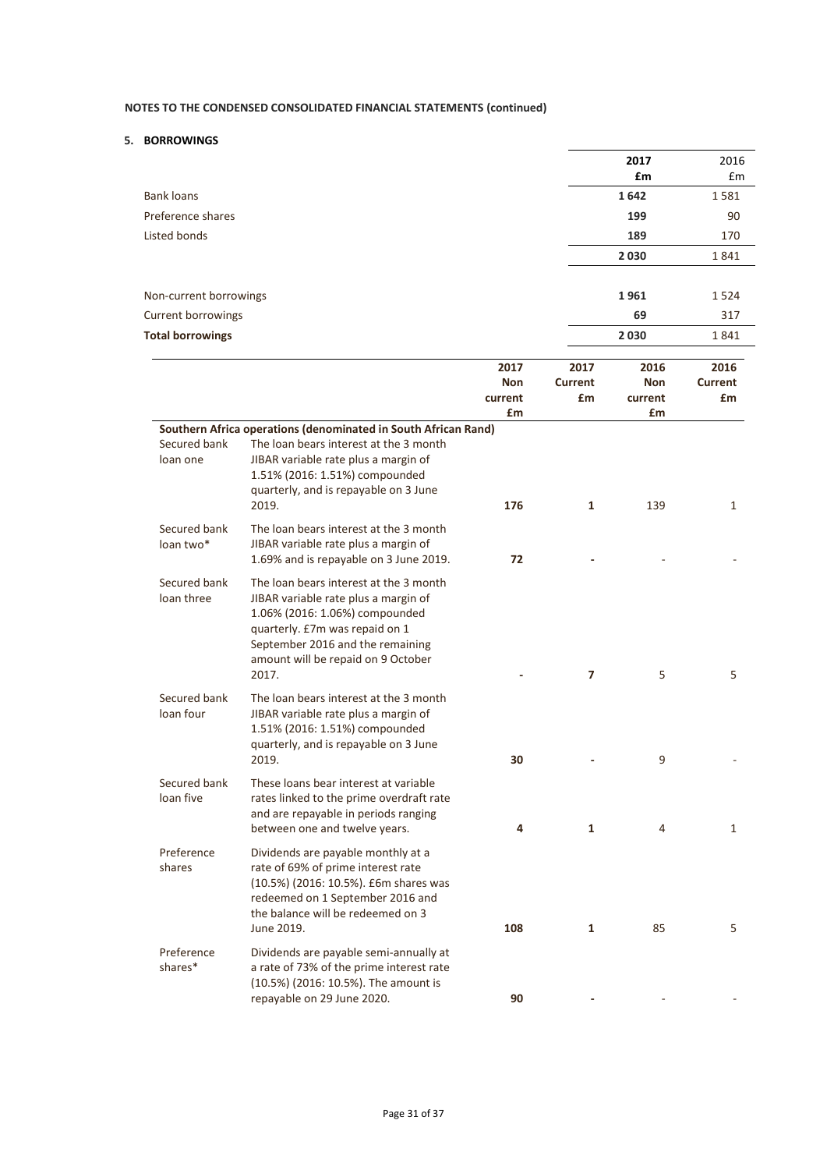## **5. BORROWINGS**

|                            |                                                                                                                                                                                                                                       |            |                | 2017       | 2016           |
|----------------------------|---------------------------------------------------------------------------------------------------------------------------------------------------------------------------------------------------------------------------------------|------------|----------------|------------|----------------|
|                            |                                                                                                                                                                                                                                       |            |                | £m         | £m             |
| <b>Bank loans</b>          |                                                                                                                                                                                                                                       |            |                | 1642       | 1581           |
| Preference shares          |                                                                                                                                                                                                                                       |            |                | 199        | 90             |
| Listed bonds               |                                                                                                                                                                                                                                       |            |                | 189        | 170            |
|                            |                                                                                                                                                                                                                                       |            |                | 2030       | 1841           |
|                            |                                                                                                                                                                                                                                       |            |                |            |                |
| Non-current borrowings     |                                                                                                                                                                                                                                       |            |                | 1961       | 1524           |
| <b>Current borrowings</b>  |                                                                                                                                                                                                                                       |            |                | 69         | 317            |
| <b>Total borrowings</b>    |                                                                                                                                                                                                                                       |            |                | 2030       | 1841           |
|                            |                                                                                                                                                                                                                                       | 2017       | 2017           | 2016       | 2016           |
|                            |                                                                                                                                                                                                                                       | <b>Non</b> | <b>Current</b> | <b>Non</b> | <b>Current</b> |
|                            |                                                                                                                                                                                                                                       | current    | £m             | current    | £m             |
|                            |                                                                                                                                                                                                                                       | £m         |                | £m         |                |
| Secured bank<br>loan one   | Southern Africa operations (denominated in South African Rand)<br>The loan bears interest at the 3 month<br>JIBAR variable rate plus a margin of<br>1.51% (2016: 1.51%) compounded<br>quarterly, and is repayable on 3 June<br>2019.  | 176        | 1              | 139        | 1              |
| Secured bank<br>loan two*  | The loan bears interest at the 3 month<br>JIBAR variable rate plus a margin of<br>1.69% and is repayable on 3 June 2019.                                                                                                              | 72         |                |            |                |
| Secured bank<br>loan three | The loan bears interest at the 3 month<br>JIBAR variable rate plus a margin of<br>1.06% (2016: 1.06%) compounded<br>quarterly. £7m was repaid on 1<br>September 2016 and the remaining<br>amount will be repaid on 9 October<br>2017. |            | 7              | 5          | 5              |
| Secured bank<br>loan four  | The loan bears interest at the 3 month<br>JIBAR variable rate plus a margin of<br>1.51% (2016: 1.51%) compounded<br>quarterly, and is repayable on 3 June<br>2019.                                                                    | 30         |                | 9          |                |
| Secured bank<br>loan five  | These loans bear interest at variable<br>rates linked to the prime overdraft rate<br>and are repayable in periods ranging<br>between one and twelve years.                                                                            | 4          | 1              | 4          | $\mathbf{1}$   |
| Preference<br>shares       | Dividends are payable monthly at a<br>rate of 69% of prime interest rate<br>(10.5%) (2016: 10.5%). £6m shares was<br>redeemed on 1 September 2016 and<br>the balance will be redeemed on 3<br>June 2019.                              | 108        | 1              | 85         | 5              |
| Preference<br>shares*      | Dividends are payable semi-annually at<br>a rate of 73% of the prime interest rate<br>(10.5%) (2016: 10.5%). The amount is<br>repayable on 29 June 2020.                                                                              | 90         |                |            |                |
|                            |                                                                                                                                                                                                                                       |            |                |            |                |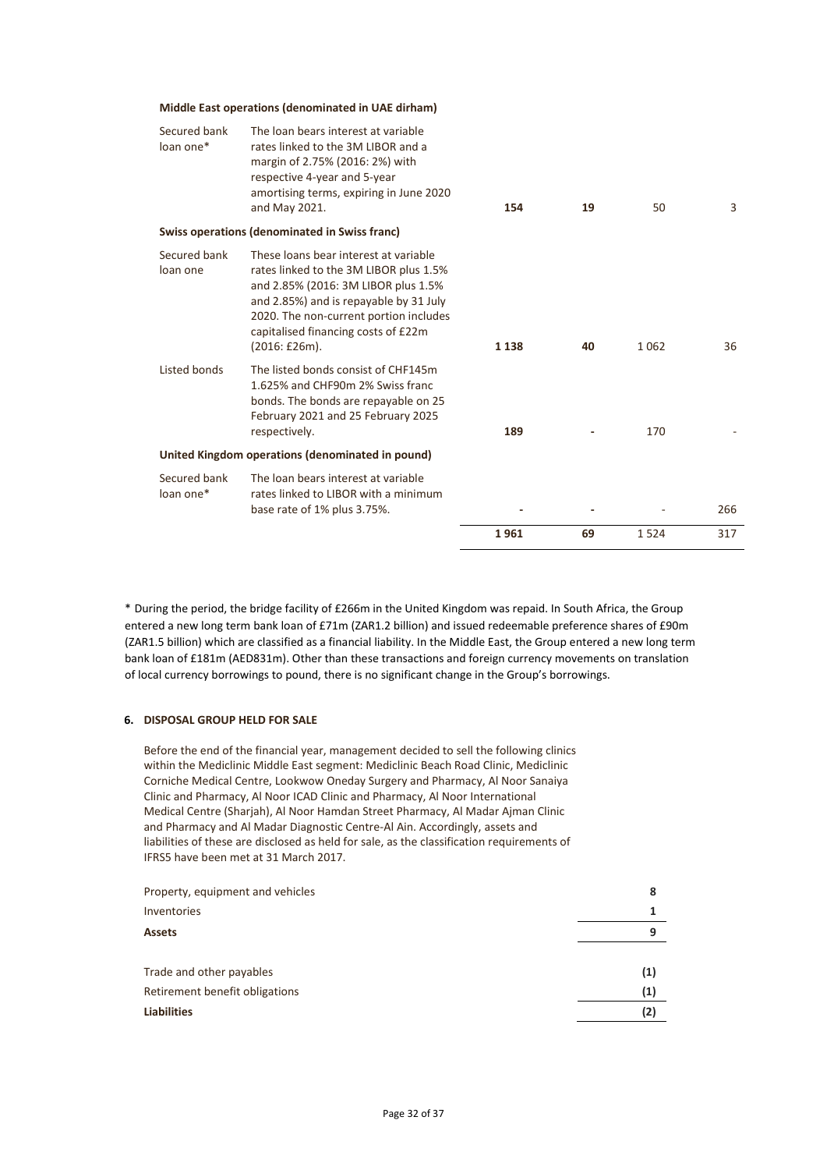#### **Middle East operations (denominated in UAE dirham)**

| Secured bank<br>loan one* | The loan bears interest at variable<br>rates linked to the 3M LIBOR and a<br>margin of 2.75% (2016: 2%) with<br>respective 4-year and 5-year<br>amortising terms, expiring in June 2020<br>and May 2021.                                                          | 154     | 19 | 50      | 3   |
|---------------------------|-------------------------------------------------------------------------------------------------------------------------------------------------------------------------------------------------------------------------------------------------------------------|---------|----|---------|-----|
|                           | Swiss operations (denominated in Swiss franc)                                                                                                                                                                                                                     |         |    |         |     |
| Secured bank<br>loan one  | These loans bear interest at variable<br>rates linked to the 3M LIBOR plus 1.5%<br>and 2.85% (2016: 3M LIBOR plus 1.5%<br>and 2.85%) and is repayable by 31 July<br>2020. The non-current portion includes<br>capitalised financing costs of £22m<br>(2016:£26m). | 1 1 3 8 | 40 | 1 0 6 2 | 36  |
| Listed bonds              | The listed bonds consist of CHF145m<br>1.625% and CHF90m 2% Swiss franc<br>bonds. The bonds are repayable on 25<br>February 2021 and 25 February 2025<br>respectively.                                                                                            | 189     |    | 170     |     |
|                           | United Kingdom operations (denominated in pound)                                                                                                                                                                                                                  |         |    |         |     |
| Secured bank<br>loan one* | The loan bears interest at variable<br>rates linked to LIBOR with a minimum<br>base rate of 1% plus 3.75%.                                                                                                                                                        |         |    |         | 266 |
|                           |                                                                                                                                                                                                                                                                   | 1961    | 69 | 1524    | 317 |

\* During the period, the bridge facility of £266m in the United Kingdom was repaid. In South Africa, the Group entered a new long term bank loan of £71m (ZAR1.2 billion) and issued redeemable preference shares of £90m (ZAR1.5 billion) which are classified as a financial liability. In the Middle East, the Group entered a new long term bank loan of £181m (AED831m). Other than these transactions and foreign currency movements on translation of local currency borrowings to pound, there is no significant change in the Group's borrowings.

#### **6. DISPOSAL GROUP HELD FOR SALE**

Before the end of the financial year, management decided to sell the following clinics within the Mediclinic Middle East segment: Mediclinic Beach Road Clinic, Mediclinic Corniche Medical Centre, Lookwow Oneday Surgery and Pharmacy, Al Noor Sanaiya Clinic and Pharmacy, Al Noor ICAD Clinic and Pharmacy, Al Noor International Medical Centre (Sharjah), Al Noor Hamdan Street Pharmacy, Al Madar Ajman Clinic and Pharmacy and Al Madar Diagnostic Centre-Al Ain. Accordingly, assets and liabilities of these are disclosed as held for sale, as the classification requirements of IFRS5 have been met at 31 March 2017.

| Property, equipment and vehicles | 8   |
|----------------------------------|-----|
| Inventories                      |     |
| <b>Assets</b>                    | q   |
|                                  |     |
| Trade and other payables         | (1) |
| Retirement benefit obligations   | (1) |
| <b>Liabilities</b>               | (2) |
|                                  |     |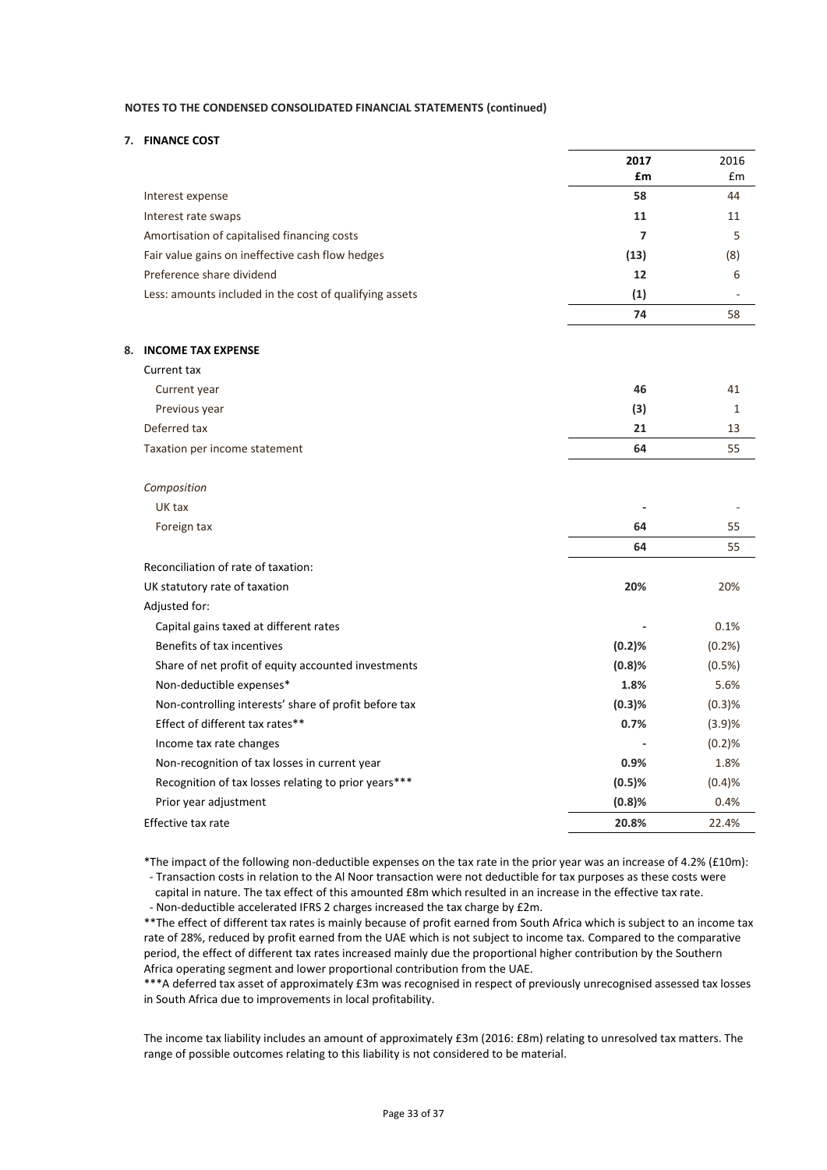#### **7. FINANCE COST**

|                                                         | 2017           | 2016   |
|---------------------------------------------------------|----------------|--------|
|                                                         | £m             | £m     |
| Interest expense                                        | 58             | 44     |
| Interest rate swaps                                     | 11             | 11     |
| Amortisation of capitalised financing costs             | $\overline{7}$ | 5      |
| Fair value gains on ineffective cash flow hedges        | (13)           | (8)    |
| Preference share dividend                               | 12             | 6      |
| Less: amounts included in the cost of qualifying assets | (1)            |        |
|                                                         | 74             | 58     |
| 8. INCOME TAX EXPENSE                                   |                |        |
| Current tax                                             |                |        |
| Current year                                            | 46             | 41     |
| Previous year                                           | (3)            | 1      |
| Deferred tax                                            | 21             | 13     |
| Taxation per income statement                           | 64             | 55     |
| Composition                                             |                |        |
| UK tax                                                  |                |        |
| Foreign tax                                             | 64             | 55     |
|                                                         | 64             | 55     |
| Reconciliation of rate of taxation:                     |                |        |
| UK statutory rate of taxation                           | 20%            | 20%    |
| Adjusted for:                                           |                |        |
| Capital gains taxed at different rates                  |                | 0.1%   |
| Benefits of tax incentives                              | (0.2)%         | (0.2%  |
| Share of net profit of equity accounted investments     | (0.8)%         | (0.5%) |
| Non-deductible expenses*                                | 1.8%           | 5.6%   |
| Non-controlling interests' share of profit before tax   | (0.3)%         | (0.3)% |
| Effect of different tax rates**                         | 0.7%           | (3.9)% |
| Income tax rate changes                                 |                | (0.2)% |
| Non-recognition of tax losses in current year           | 0.9%           | 1.8%   |
| Recognition of tax losses relating to prior years***    | (0.5)%         | (0.4)% |
| Prior year adjustment                                   | (0.8)%         | 0.4%   |
| Effective tax rate                                      | 20.8%          | 22.4%  |
|                                                         |                |        |

\*The impact of the following non-deductible expenses on the tax rate in the prior year was an increase of 4.2% (£10m): - Transaction costs in relation to the Al Noor transaction were not deductible for tax purposes as these costs were

 capital in nature. The tax effect of this amounted £8m which resulted in an increase in the effective tax rate. - Non-deductible accelerated IFRS 2 charges increased the tax charge by £2m.

\*\*The effect of different tax rates is mainly because of profit earned from South Africa which is subject to an income tax rate of 28%, reduced by profit earned from the UAE which is not subject to income tax. Compared to the comparative period, the effect of different tax rates increased mainly due the proportional higher contribution by the Southern Africa operating segment and lower proportional contribution from the UAE.

\*\*\*A deferred tax asset of approximately £3m was recognised in respect of previously unrecognised assessed tax losses in South Africa due to improvements in local profitability.

The income tax liability includes an amount of approximately £3m (2016: £8m) relating to unresolved tax matters. The range of possible outcomes relating to this liability is not considered to be material.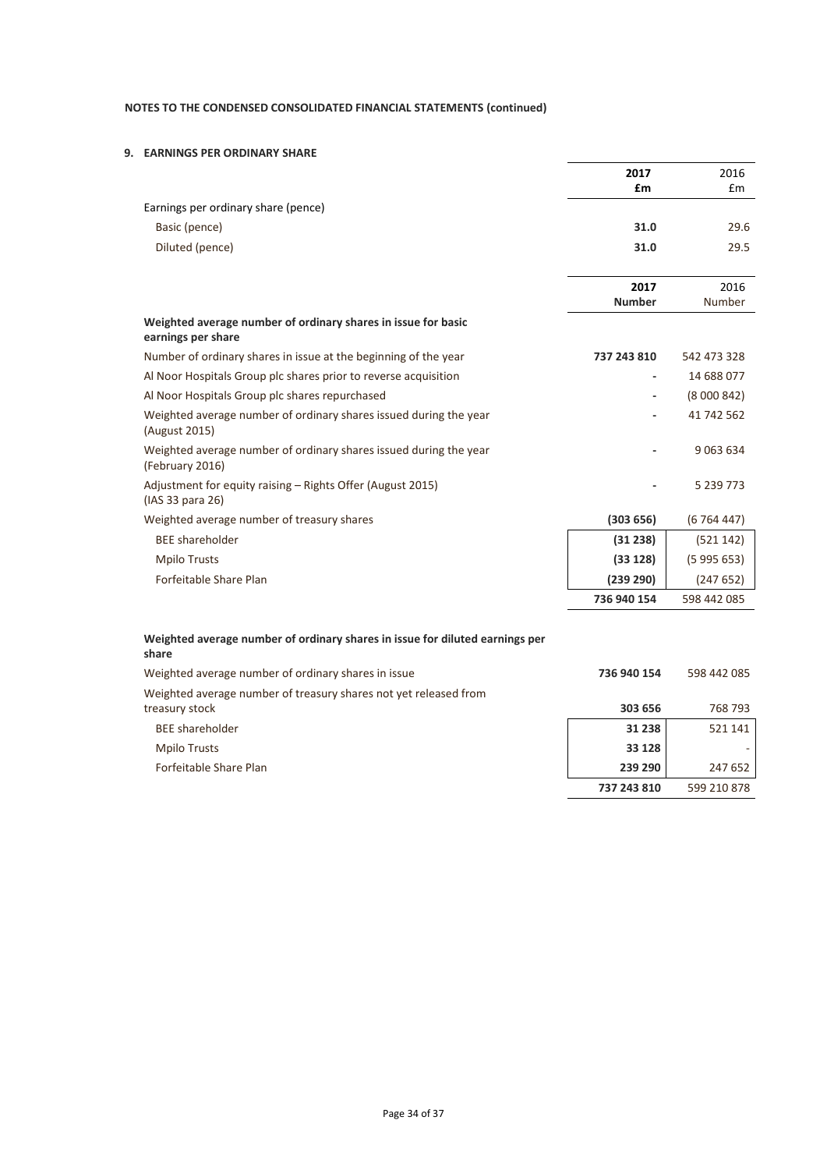## **9. EARNINGS PER ORDINARY SHARE**

|                                                                                       | 2017          | 2016        |
|---------------------------------------------------------------------------------------|---------------|-------------|
|                                                                                       | £m            | Em          |
| Earnings per ordinary share (pence)                                                   |               |             |
| Basic (pence)                                                                         | 31.0          | 29.6        |
| Diluted (pence)                                                                       | 31.0          | 29.5        |
|                                                                                       |               |             |
|                                                                                       | 2017          | 2016        |
|                                                                                       | <b>Number</b> | Number      |
| Weighted average number of ordinary shares in issue for basic<br>earnings per share   |               |             |
| Number of ordinary shares in issue at the beginning of the year                       | 737 243 810   | 542 473 328 |
| Al Noor Hospitals Group plc shares prior to reverse acquisition                       |               | 14 688 077  |
| Al Noor Hospitals Group plc shares repurchased                                        |               | (8000842)   |
| Weighted average number of ordinary shares issued during the year<br>(August 2015)    |               | 41 742 562  |
| Weighted average number of ordinary shares issued during the year<br>(February 2016)  |               | 9 0 63 6 34 |
| Adjustment for equity raising - Rights Offer (August 2015)<br>(IAS 33 para 26)        |               | 5 239 773   |
| Weighted average number of treasury shares                                            | (303656)      | (6764447)   |
| <b>BEE</b> shareholder                                                                | (31 238)      | (521142)    |
| <b>Mpilo Trusts</b>                                                                   | (33 128)      | (5995653)   |
| Forfeitable Share Plan                                                                | (239 290)     | (247652)    |
|                                                                                       | 736 940 154   | 598 442 085 |
| Weighted average number of ordinary shares in issue for diluted earnings per<br>share |               |             |
| Weighted average number of ordinary shares in issue                                   | 736 940 154   | 598 442 085 |

| Weighted average number of treasury shares not yet released from |             |             |
|------------------------------------------------------------------|-------------|-------------|
| treasury stock                                                   | 303 656     | 768 793     |
| <b>BEE</b> shareholder                                           | 31 238      | 521 141     |
| Mpilo Trusts                                                     | 33 1 28     |             |
| Forfeitable Share Plan                                           | 239 290     | 247 652     |
|                                                                  | 737 243 810 | 599 210 878 |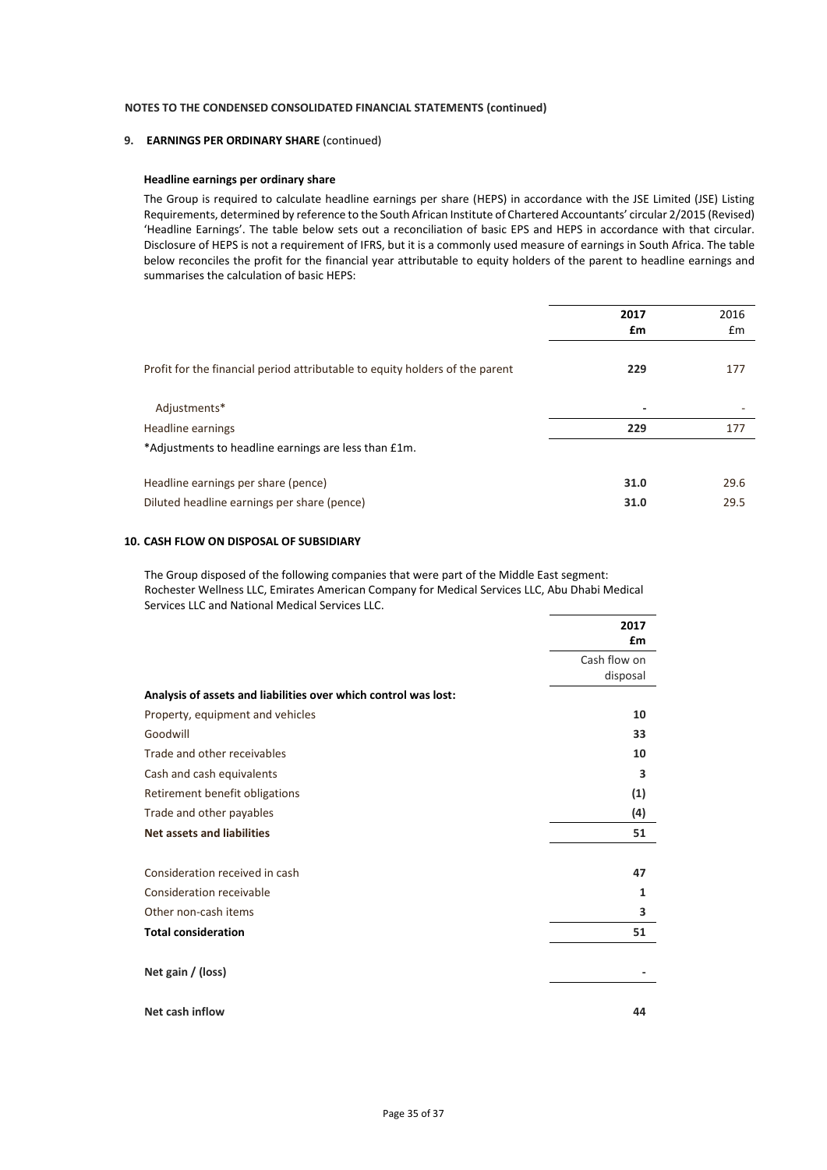#### **9. EARNINGS PER ORDINARY SHARE** (continued)

#### **Headline earnings per ordinary share**

The Group is required to calculate headline earnings per share (HEPS) in accordance with the JSE Limited (JSE) Listing Requirements, determined by reference to the South African Institute of Chartered Accountants' circular 2/2015 (Revised) 'Headline Earnings'. The table below sets out a reconciliation of basic EPS and HEPS in accordance with that circular. Disclosure of HEPS is not a requirement of IFRS, but it is a commonly used measure of earnings in South Africa. The table below reconciles the profit for the financial year attributable to equity holders of the parent to headline earnings and summarises the calculation of basic HEPS:

|                                                                              | 2017                     | 2016 |
|------------------------------------------------------------------------------|--------------------------|------|
|                                                                              | £m                       | £m   |
| Profit for the financial period attributable to equity holders of the parent | 229                      | 177  |
| Adjustments*                                                                 | $\overline{\phantom{a}}$ |      |
| Headline earnings                                                            | 229                      | 177  |
| *Adjustments to headline earnings are less than £1m.                         |                          |      |
| Headline earnings per share (pence)                                          | 31.0                     | 29.6 |
| Diluted headline earnings per share (pence)                                  | 31.0                     | 29.5 |

#### **10. CASH FLOW ON DISPOSAL OF SUBSIDIARY**

The Group disposed of the following companies that were part of the Middle East segment: Rochester Wellness LLC, Emirates American Company for Medical Services LLC, Abu Dhabi Medical Services LLC and National Medical Services LLC.

|                                                                 | 2017<br>£m               |
|-----------------------------------------------------------------|--------------------------|
|                                                                 | Cash flow on<br>disposal |
| Analysis of assets and liabilities over which control was lost: |                          |
| Property, equipment and vehicles                                | 10                       |
| Goodwill                                                        | 33                       |
| Trade and other receivables                                     | 10                       |
| Cash and cash equivalents                                       | 3                        |
| Retirement benefit obligations                                  | (1)                      |
| Trade and other payables                                        | (4)                      |
| <b>Net assets and liabilities</b>                               | 51                       |
| Consideration received in cash                                  | 47                       |
| Consideration receivable                                        | 1                        |
| Other non-cash items                                            | 3                        |
| <b>Total consideration</b>                                      | 51                       |
| Net gain / (loss)                                               |                          |
| Net cash inflow                                                 | 44                       |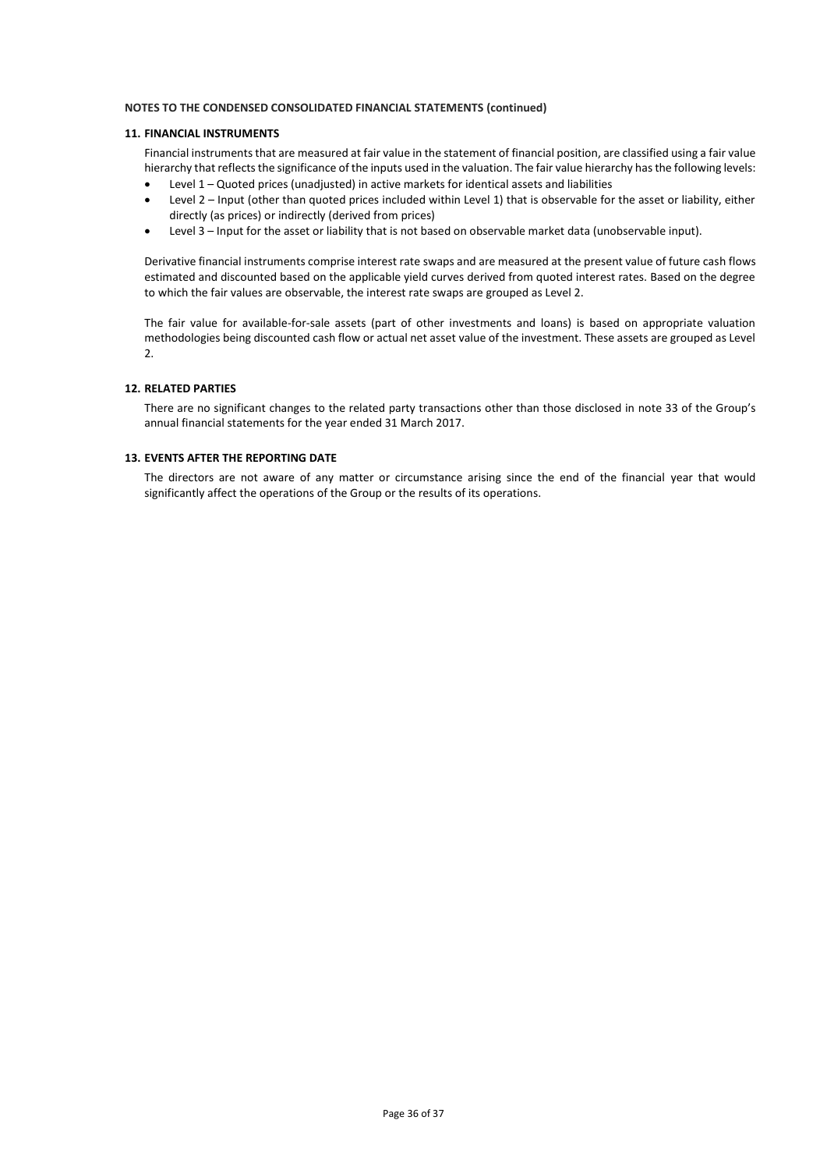### **11. FINANCIAL INSTRUMENTS**

Financial instruments that are measured at fair value in the statement of financial position, are classified using a fair value hierarchy that reflects the significance of the inputs used in the valuation. The fair value hierarchy has the following levels:

- Level 1 Quoted prices (unadjusted) in active markets for identical assets and liabilities
- Level 2 Input (other than quoted prices included within Level 1) that is observable for the asset or liability, either directly (as prices) or indirectly (derived from prices)
- Level 3 Input for the asset or liability that is not based on observable market data (unobservable input).

Derivative financial instruments comprise interest rate swaps and are measured at the present value of future cash flows estimated and discounted based on the applicable yield curves derived from quoted interest rates. Based on the degree to which the fair values are observable, the interest rate swaps are grouped as Level 2.

The fair value for available-for-sale assets (part of other investments and loans) is based on appropriate valuation methodologies being discounted cash flow or actual net asset value of the investment. These assets are grouped as Level 2.

## **12. RELATED PARTIES**

There are no significant changes to the related party transactions other than those disclosed in note 33 of the Group's annual financial statements for the year ended 31 March 2017.

#### **13. EVENTS AFTER THE REPORTING DATE**

The directors are not aware of any matter or circumstance arising since the end of the financial year that would significantly affect the operations of the Group or the results of its operations.